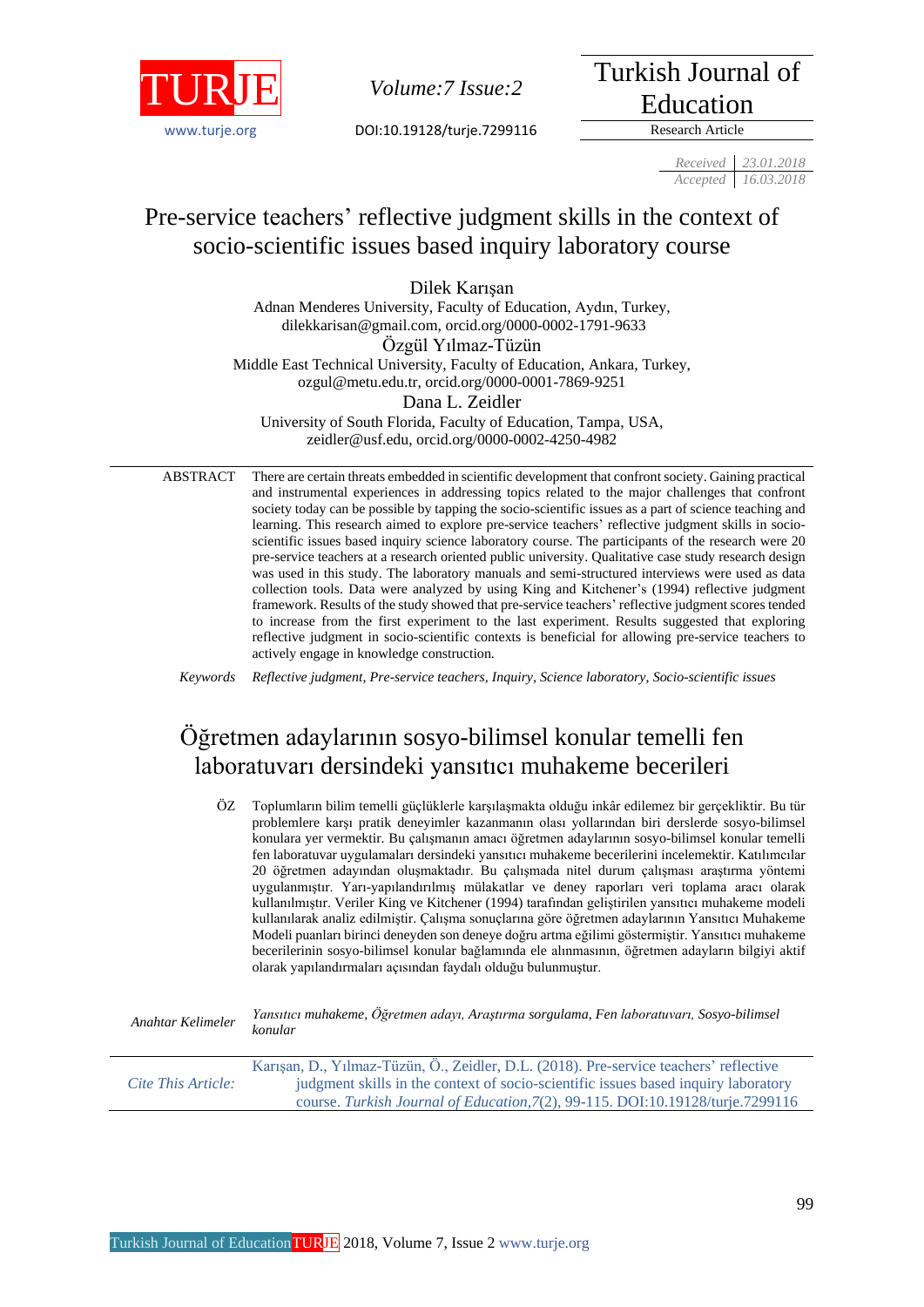

[www.turje.org](http://www.turje.org/) DOI:10.19128/turje.7299116 Research Article

*Volume:7 Issue:*2 Turkish Journal of Education

*Received 23.01.2018 Accepted 16.03.2018*

## Pre-service teachers' reflective judgment skills in the context of socio-scientific issues based inquiry laboratory course

Dilek Karışan Adnan Menderes University, Faculty of Education, Aydın, Turkey, [dilekkarisan@gmail.com,](mailto:dilekkarisan@gmail.com) [orcid.org/0000-0002-1791-9633](https://orcid.org/0000-0002-1791-9633) Özgül Yılmaz-Tüzün Middle East Technical University, Faculty of Education, Ankara, Turkey, [ozgul@metu.edu.tr,](mailto:ozgul@metu.edu.tr) orcid.org/0000-0001-7869-9251 Dana L. Zeidler University of South Florida, Faculty of Education, Tampa, USA, [zeidler@usf.edu,](mailto:zeidler@usf.edu) orcid.org/0000-0002-4250-4982

ABSTRACT There are certain threats embedded in scientific development that confront society. Gaining practical and instrumental experiences in addressing topics related to the major challenges that confront society today can be possible by tapping the socio-scientific issues as a part of science teaching and learning. This research aimed to explore pre-service teachers' reflective judgment skills in socioscientific issues based inquiry science laboratory course. The participants of the research were 20 pre-service teachers at a research oriented public university. Qualitative case study research design was used in this study. The laboratory manuals and semi-structured interviews were used as data collection tools. Data were analyzed by using King and Kitchener's (1994) reflective judgment framework. Results of the study showed that pre-service teachers' reflective judgment scores tended to increase from the first experiment to the last experiment. Results suggested that exploring reflective judgment in socio-scientific contexts is beneficial for allowing pre-service teachers to actively engage in knowledge construction.

*Keywords Reflective judgment, Pre-service teachers, Inquiry, Science laboratory, Socio-scientific issues*

# Öğretmen adaylarının sosyo-bilimsel konular temelli fen laboratuvarı dersindeki yansıtıcı muhakeme becerileri

| ÔZ                 | Toplumların bilim temelli güçlüklerle karşılaşmakta olduğu inkâr edilemez bir gerçekliktir. Bu tür<br>problemlere karşı pratik deneyimler kazanmanın olası yollarından biri derslerde sosyo-bilimsel<br>konulara yer vermektir. Bu çalışmanın amacı öğretmen adaylarının sosyo-bilimsel konular temelli<br>fen laboratuvar uygulamaları dersindeki yansıtıcı muhakeme becerilerini incelemektir. Katılımcılar<br>20 öğretmen adayından oluşmaktadır. Bu çalışmada nitel durum çalışması araştırma yöntemi<br>uygulanmıştır. Yarı-yapılandırılmış mülakatlar ve deney raporları veri toplama aracı olarak<br>kullanılmıştır. Veriler King ve Kitchener (1994) tarafından geliştirilen yansıtıcı muhakeme modeli<br>kullanılarak analiz edilmiştir. Çalışma sonuçlarına göre öğretmen adaylarının Yansıtıcı Muhakeme<br>Modeli puanları birinci deneyden son deneye doğru artma eğilimi göstermiştir. Yansıtıcı muhakeme<br>becerilerinin sosyo-bilimsel konular bağlamında ele alınmasının, öğretmen adayların bilgiyi aktif<br>olarak yapılandırmaları açısından faydalı olduğu bulunmuştur. |
|--------------------|----------------------------------------------------------------------------------------------------------------------------------------------------------------------------------------------------------------------------------------------------------------------------------------------------------------------------------------------------------------------------------------------------------------------------------------------------------------------------------------------------------------------------------------------------------------------------------------------------------------------------------------------------------------------------------------------------------------------------------------------------------------------------------------------------------------------------------------------------------------------------------------------------------------------------------------------------------------------------------------------------------------------------------------------------------------------------------------------|
| Anahtar Kelimeler  | Yansıtıcı muhakeme, Öğretmen adayı, Araştırma sorgulama, Fen laboratuvarı, Sosyo-bilimsel<br>konular                                                                                                                                                                                                                                                                                                                                                                                                                                                                                                                                                                                                                                                                                                                                                                                                                                                                                                                                                                                         |
| Cite This Article: | Karışan, D., Yılmaz-Tüzün, Ö., Zeidler, D.L. (2018). Pre-service teachers' reflective<br>judgment skills in the context of socio-scientific issues based inquiry laboratory<br>course. Turkish Journal of Education, 7(2), 99-115. DOI:10.19128/turje.7299116                                                                                                                                                                                                                                                                                                                                                                                                                                                                                                                                                                                                                                                                                                                                                                                                                                |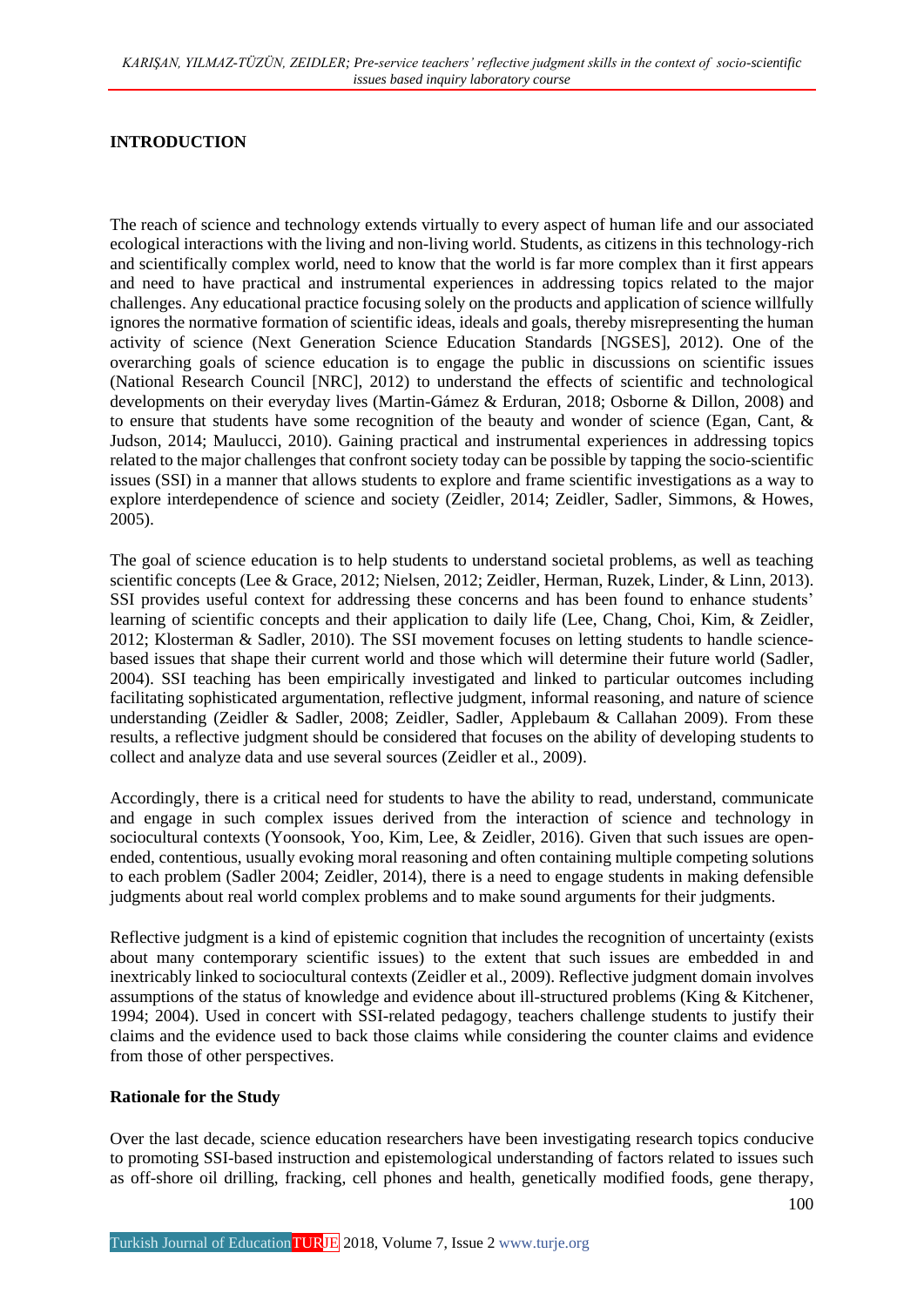#### **INTRODUCTION**

The reach of science and technology extends virtually to every aspect of human life and our associated ecological interactions with the living and non-living world. Students, as citizens in this technology-rich and scientifically complex world, need to know that the world is far more complex than it first appears and need to have practical and instrumental experiences in addressing topics related to the major challenges. Any educational practice focusing solely on the products and application of science willfully ignores the normative formation of scientific ideas, ideals and goals, thereby misrepresenting the human activity of science (Next Generation Science Education Standards [NGSES], 2012). One of the overarching goals of science education is to engage the public in discussions on scientific issues (National Research Council [NRC], 2012) to understand the effects of scientific and technological developments on their everyday lives (Martin-Gámez & Erduran, 2018; Osborne & Dillon, 2008) and to ensure that students have some recognition of the beauty and wonder of science (Egan, Cant, & Judson, 2014; Maulucci, 2010). Gaining practical and instrumental experiences in addressing topics related to the major challenges that confront society today can be possible by tapping the socio-scientific issues (SSI) in a manner that allows students to explore and frame scientific investigations as a way to explore interdependence of science and society (Zeidler, 2014; Zeidler, Sadler, Simmons, & Howes, 2005).

The goal of science education is to help students to understand societal problems, as well as teaching scientific concepts (Lee & Grace, 2012; Nielsen, 2012; Zeidler, Herman, Ruzek, Linder, & Linn, 2013). SSI provides useful context for addressing these concerns and has been found to enhance students' learning of scientific concepts and their application to daily life (Lee, Chang, Choi, Kim, & Zeidler, 2012; Klosterman & Sadler, 2010). The SSI movement focuses on letting students to handle sciencebased issues that shape their current world and those which will determine their future world (Sadler, 2004). SSI teaching has been empirically investigated and linked to particular outcomes including facilitating sophisticated argumentation, reflective judgment, informal reasoning, and nature of science understanding (Zeidler & Sadler, 2008; Zeidler, Sadler, Applebaum & Callahan 2009). From these results, a reflective judgment should be considered that focuses on the ability of developing students to collect and analyze data and use several sources (Zeidler et al., 2009).

Accordingly, there is a critical need for students to have the ability to read, understand, communicate and engage in such complex issues derived from the interaction of science and technology in sociocultural contexts (Yoonsook, Yoo, Kim, Lee, & Zeidler, 2016). Given that such issues are openended, contentious, usually evoking moral reasoning and often containing multiple competing solutions to each problem (Sadler 2004; Zeidler, 2014), there is a need to engage students in making defensible judgments about real world complex problems and to make sound arguments for their judgments.

Reflective judgment is a kind of epistemic cognition that includes the recognition of uncertainty (exists about many contemporary scientific issues) to the extent that such issues are embedded in and inextricably linked to sociocultural contexts (Zeidler et al., 2009). Reflective judgment domain involves assumptions of the status of knowledge and evidence about ill-structured problems (King & Kitchener, 1994; 2004). Used in concert with SSI-related pedagogy, teachers challenge students to justify their claims and the evidence used to back those claims while considering the counter claims and evidence from those of other perspectives.

#### **Rationale for the Study**

Over the last decade, science education researchers have been investigating research topics conducive to promoting SSI-based instruction and epistemological understanding of factors related to issues such as off-shore oil drilling, fracking, cell phones and health, genetically modified foods, gene therapy,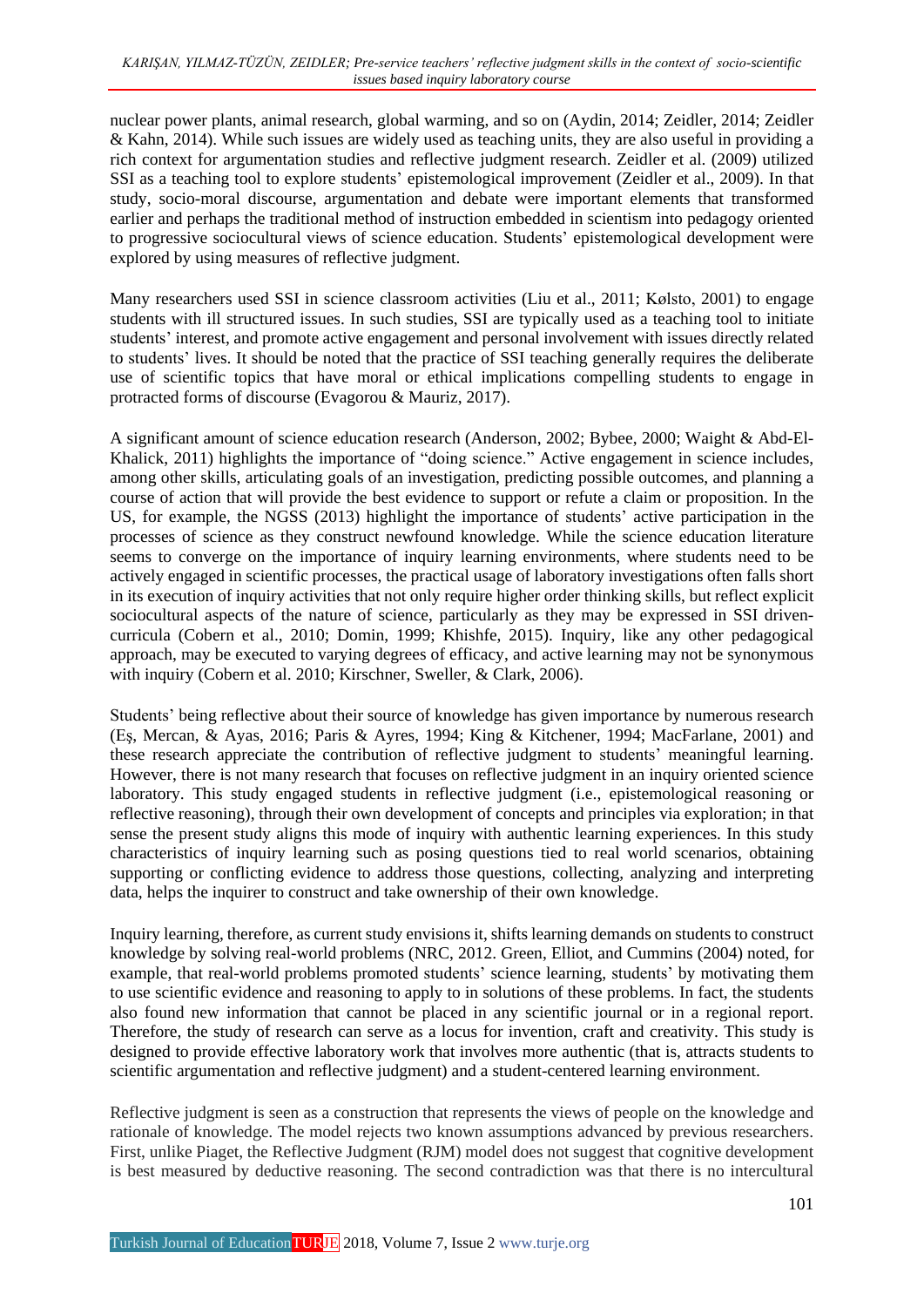nuclear power plants, animal research, global warming, and so on (Aydin, 2014; Zeidler, 2014; Zeidler & Kahn, 2014). While such issues are widely used as teaching units, they are also useful in providing a rich context for argumentation studies and reflective judgment research. Zeidler et al. (2009) utilized SSI as a teaching tool to explore students' epistemological improvement (Zeidler et al., 2009). In that study, socio-moral discourse, argumentation and debate were important elements that transformed earlier and perhaps the traditional method of instruction embedded in scientism into pedagogy oriented to progressive sociocultural views of science education. Students' epistemological development were explored by using measures of reflective judgment.

Many researchers used SSI in science classroom activities (Liu et al., 2011; Kølsto, 2001) to engage students with ill structured issues. In such studies, SSI are typically used as a teaching tool to initiate students' interest, and promote active engagement and personal involvement with issues directly related to students' lives. It should be noted that the practice of SSI teaching generally requires the deliberate use of scientific topics that have moral or ethical implications compelling students to engage in protracted forms of discourse (Evagorou & Mauriz, 2017).

A significant amount of science education research (Anderson, 2002; Bybee, 2000; Waight & Abd-El-Khalick, 2011) highlights the importance of "doing science." Active engagement in science includes, among other skills, articulating goals of an investigation, predicting possible outcomes, and planning a course of action that will provide the best evidence to support or refute a claim or proposition. In the US, for example, the NGSS (2013) highlight the importance of students' active participation in the processes of science as they construct newfound knowledge. While the science education literature seems to converge on the importance of inquiry learning environments, where students need to be actively engaged in scientific processes, the practical usage of laboratory investigations often falls short in its execution of inquiry activities that not only require higher order thinking skills, but reflect explicit sociocultural aspects of the nature of science, particularly as they may be expressed in SSI drivencurricula (Cobern et al., 2010; Domin, 1999; Khishfe, 2015). Inquiry, like any other pedagogical approach, may be executed to varying degrees of efficacy, and active learning may not be synonymous with inquiry (Cobern et al. 2010; Kirschner, Sweller, & Clark, 2006).

Students' being reflective about their source of knowledge has given importance by numerous research (Eş, Mercan, & Ayas, 2016; Paris & Ayres, 1994; King & Kitchener, 1994; MacFarlane, 2001) and these research appreciate the contribution of reflective judgment to students' meaningful learning. However, there is not many research that focuses on reflective judgment in an inquiry oriented science laboratory. This study engaged students in reflective judgment (i.e., epistemological reasoning or reflective reasoning), through their own development of concepts and principles via exploration; in that sense the present study aligns this mode of inquiry with authentic learning experiences. In this study characteristics of inquiry learning such as posing questions tied to real world scenarios, obtaining supporting or conflicting evidence to address those questions, collecting, analyzing and interpreting data, helps the inquirer to construct and take ownership of their own knowledge.

Inquiry learning, therefore, as current study envisions it, shifts learning demands on students to construct knowledge by solving real-world problems (NRC, 2012. Green, Elliot, and Cummins (2004) noted, for example, that real-world problems promoted students' science learning, students' by motivating them to use scientific evidence and reasoning to apply to in solutions of these problems. In fact, the students also found new information that cannot be placed in any scientific journal or in a regional report. Therefore, the study of research can serve as a locus for invention, craft and creativity. This study is designed to provide effective laboratory work that involves more authentic (that is, attracts students to scientific argumentation and reflective judgment) and a student-centered learning environment.

Reflective judgment is seen as a construction that represents the views of people on the knowledge and rationale of knowledge. The model rejects two known assumptions advanced by previous researchers. First, unlike Piaget, the Reflective Judgment (RJM) model does not suggest that cognitive development is best measured by deductive reasoning. The second contradiction was that there is no intercultural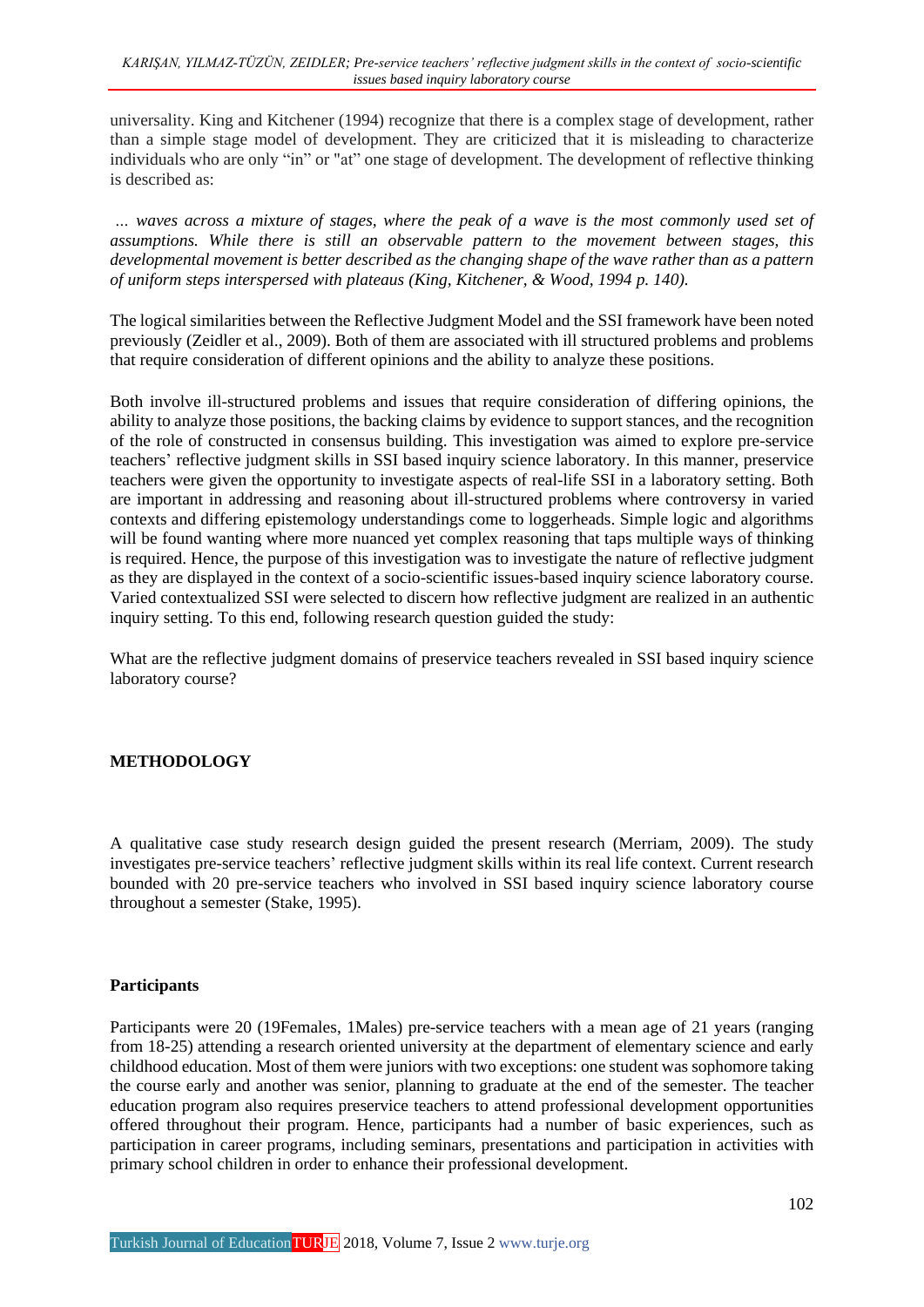universality. King and Kitchener (1994) recognize that there is a complex stage of development, rather than a simple stage model of development. They are criticized that it is misleading to characterize individuals who are only "in" or "at" one stage of development. The development of reflective thinking is described as:

... waves across a mixture of stages, where the peak of a wave is the most commonly used set of *assumptions. While there is still an observable pattern to the movement between stages, this developmental movement is better described as the changing shape of the wave rather than as a pattern of uniform steps interspersed with plateaus (King, Kitchener, & Wood, 1994 p. 140).*

The logical similarities between the Reflective Judgment Model and the SSI framework have been noted previously (Zeidler et al., 2009). Both of them are associated with ill structured problems and problems that require consideration of different opinions and the ability to analyze these positions.

Both involve ill-structured problems and issues that require consideration of differing opinions, the ability to analyze those positions, the backing claims by evidence to support stances, and the recognition of the role of constructed in consensus building. This investigation was aimed to explore pre-service teachers' reflective judgment skills in SSI based inquiry science laboratory. In this manner, preservice teachers were given the opportunity to investigate aspects of real-life SSI in a laboratory setting. Both are important in addressing and reasoning about ill-structured problems where controversy in varied contexts and differing epistemology understandings come to loggerheads. Simple logic and algorithms will be found wanting where more nuanced yet complex reasoning that taps multiple ways of thinking is required. Hence, the purpose of this investigation was to investigate the nature of reflective judgment as they are displayed in the context of a socio-scientific issues-based inquiry science laboratory course. Varied contextualized SSI were selected to discern how reflective judgment are realized in an authentic inquiry setting. To this end, following research question guided the study:

What are the reflective judgment domains of preservice teachers revealed in SSI based inquiry science laboratory course?

## **METHODOLOGY**

A qualitative case study research design guided the present research (Merriam, 2009). The study investigates pre-service teachers' reflective judgment skills within its real life context. Current research bounded with 20 pre-service teachers who involved in SSI based inquiry science laboratory course throughout a semester (Stake, 1995).

## **Participants**

Participants were 20 (19Females, 1Males) pre-service teachers with a mean age of 21 years (ranging from 18-25) attending a research oriented university at the department of elementary science and early childhood education. Most of them were juniors with two exceptions: one student was sophomore taking the course early and another was senior, planning to graduate at the end of the semester. The teacher education program also requires preservice teachers to attend professional development opportunities offered throughout their program. Hence, participants had a number of basic experiences, such as participation in career programs, including seminars, presentations and participation in activities with primary school children in order to enhance their professional development.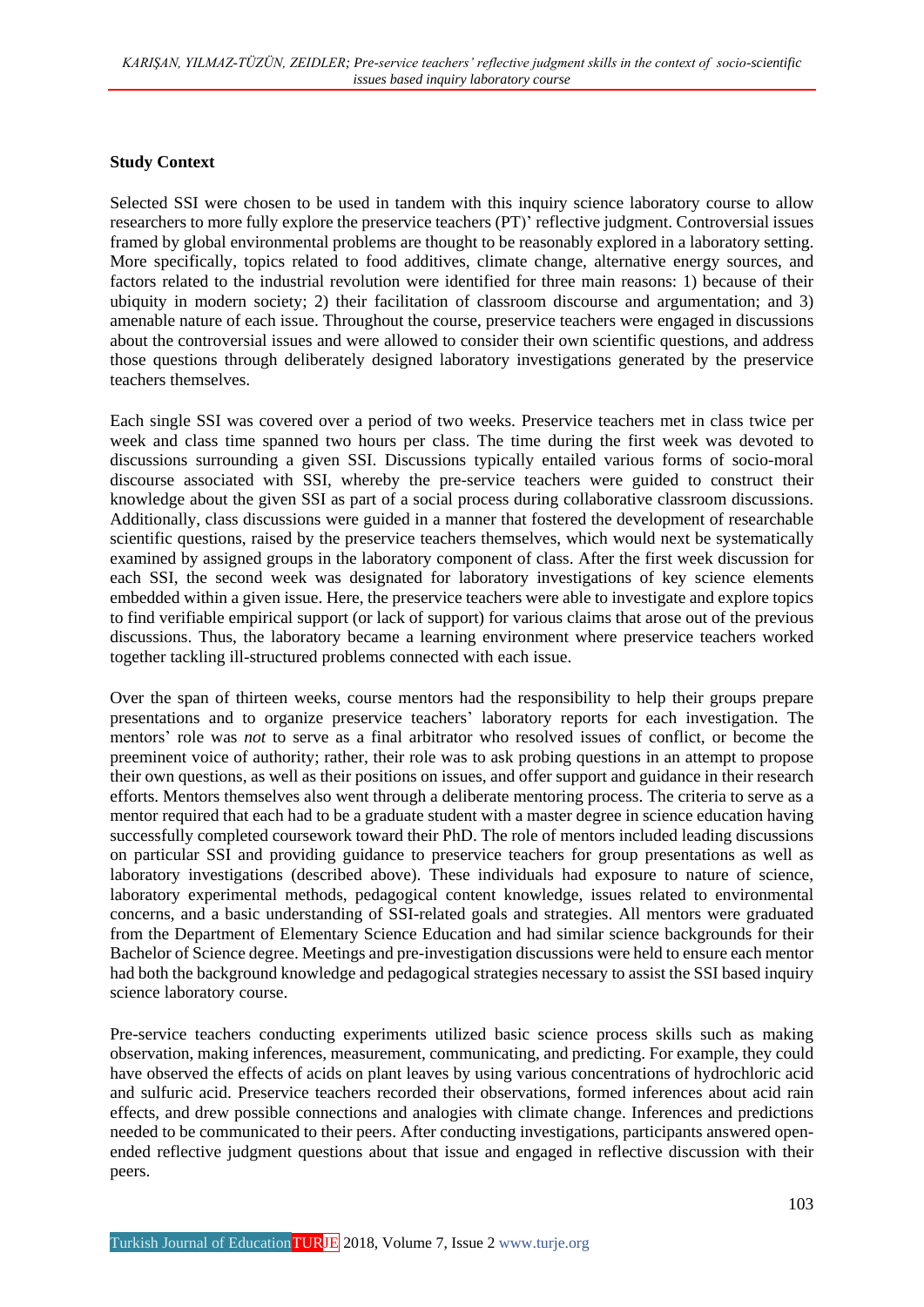#### **Study Context**

Selected SSI were chosen to be used in tandem with this inquiry science laboratory course to allow researchers to more fully explore the preservice teachers (PT)' reflective judgment. Controversial issues framed by global environmental problems are thought to be reasonably explored in a laboratory setting. More specifically, topics related to food additives, climate change, alternative energy sources, and factors related to the industrial revolution were identified for three main reasons: 1) because of their ubiquity in modern society; 2) their facilitation of classroom discourse and argumentation; and 3) amenable nature of each issue. Throughout the course, preservice teachers were engaged in discussions about the controversial issues and were allowed to consider their own scientific questions, and address those questions through deliberately designed laboratory investigations generated by the preservice teachers themselves.

Each single SSI was covered over a period of two weeks. Preservice teachers met in class twice per week and class time spanned two hours per class. The time during the first week was devoted to discussions surrounding a given SSI. Discussions typically entailed various forms of socio-moral discourse associated with SSI, whereby the pre-service teachers were guided to construct their knowledge about the given SSI as part of a social process during collaborative classroom discussions. Additionally, class discussions were guided in a manner that fostered the development of researchable scientific questions, raised by the preservice teachers themselves, which would next be systematically examined by assigned groups in the laboratory component of class. After the first week discussion for each SSI, the second week was designated for laboratory investigations of key science elements embedded within a given issue. Here, the preservice teachers were able to investigate and explore topics to find verifiable empirical support (or lack of support) for various claims that arose out of the previous discussions. Thus, the laboratory became a learning environment where preservice teachers worked together tackling ill-structured problems connected with each issue.

Over the span of thirteen weeks, course mentors had the responsibility to help their groups prepare presentations and to organize preservice teachers' laboratory reports for each investigation. The mentors' role was *not* to serve as a final arbitrator who resolved issues of conflict, or become the preeminent voice of authority; rather, their role was to ask probing questions in an attempt to propose their own questions, as well as their positions on issues, and offer support and guidance in their research efforts. Mentors themselves also went through a deliberate mentoring process. The criteria to serve as a mentor required that each had to be a graduate student with a master degree in science education having successfully completed coursework toward their PhD. The role of mentors included leading discussions on particular SSI and providing guidance to preservice teachers for group presentations as well as laboratory investigations (described above). These individuals had exposure to nature of science, laboratory experimental methods, pedagogical content knowledge, issues related to environmental concerns, and a basic understanding of SSI-related goals and strategies. All mentors were graduated from the Department of Elementary Science Education and had similar science backgrounds for their Bachelor of Science degree. Meetings and pre-investigation discussions were held to ensure each mentor had both the background knowledge and pedagogical strategies necessary to assist the SSI based inquiry science laboratory course.

Pre-service teachers conducting experiments utilized basic science process skills such as making observation, making inferences, measurement, communicating, and predicting. For example, they could have observed the effects of acids on plant leaves by using various concentrations of hydrochloric acid and sulfuric acid. Preservice teachers recorded their observations, formed inferences about acid rain effects, and drew possible connections and analogies with climate change. Inferences and predictions needed to be communicated to their peers. After conducting investigations, participants answered openended reflective judgment questions about that issue and engaged in reflective discussion with their peers.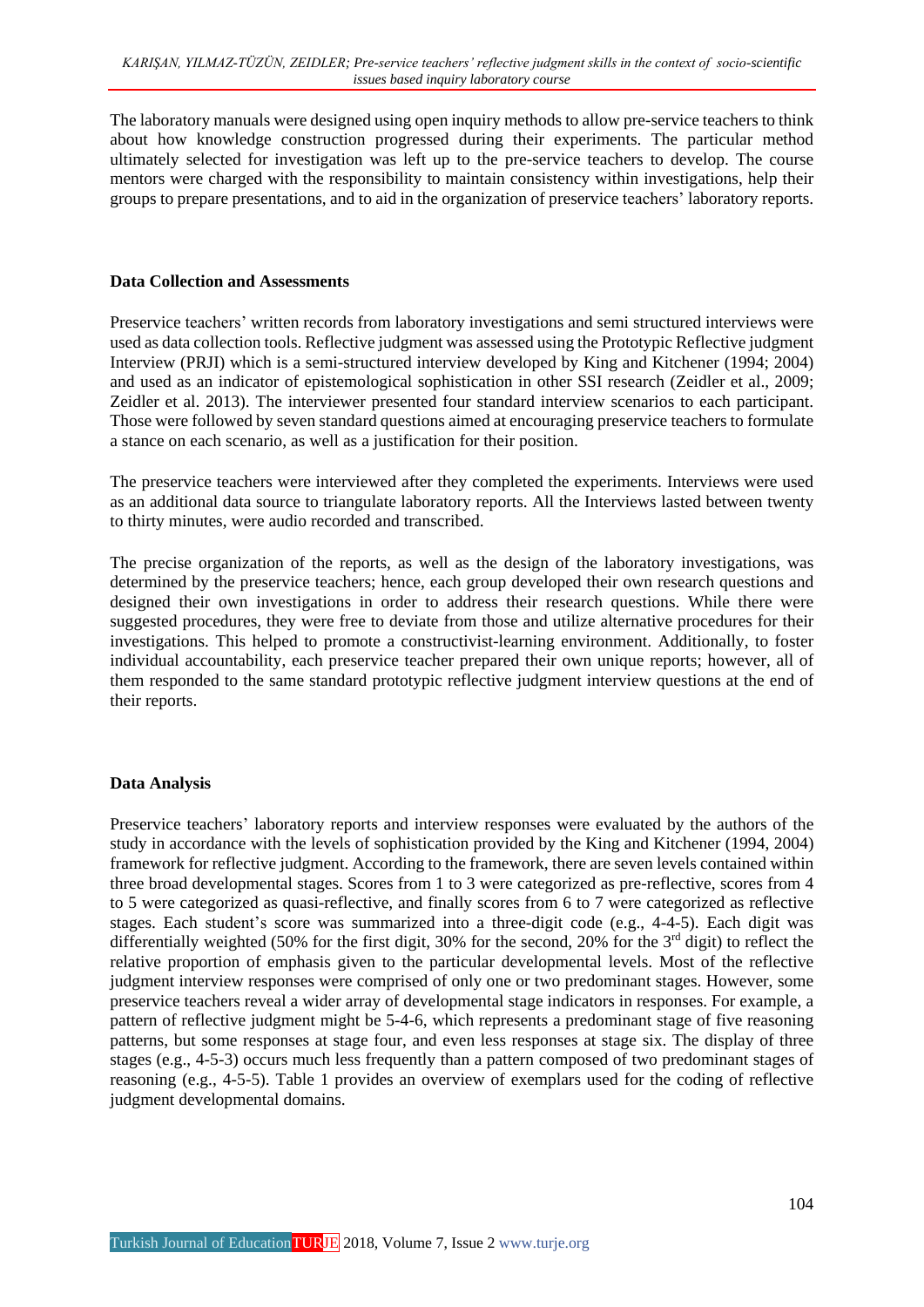The laboratory manuals were designed using open inquiry methods to allow pre-service teachers to think about how knowledge construction progressed during their experiments. The particular method ultimately selected for investigation was left up to the pre-service teachers to develop. The course mentors were charged with the responsibility to maintain consistency within investigations, help their groups to prepare presentations, and to aid in the organization of preservice teachers' laboratory reports.

#### **Data Collection and Assessments**

Preservice teachers' written records from laboratory investigations and semi structured interviews were used as data collection tools. Reflective judgment was assessed using the Prototypic Reflective judgment Interview (PRJI) which is a semi-structured interview developed by King and Kitchener (1994; 2004) and used as an indicator of epistemological sophistication in other SSI research (Zeidler et al., 2009; Zeidler et al. 2013). The interviewer presented four standard interview scenarios to each participant. Those were followed by seven standard questions aimed at encouraging preservice teachers to formulate a stance on each scenario, as well as a justification for their position.

The preservice teachers were interviewed after they completed the experiments. Interviews were used as an additional data source to triangulate laboratory reports. All the Interviews lasted between twenty to thirty minutes, were audio recorded and transcribed.

The precise organization of the reports, as well as the design of the laboratory investigations, was determined by the preservice teachers; hence, each group developed their own research questions and designed their own investigations in order to address their research questions. While there were suggested procedures, they were free to deviate from those and utilize alternative procedures for their investigations. This helped to promote a constructivist-learning environment. Additionally, to foster individual accountability, each preservice teacher prepared their own unique reports; however, all of them responded to the same standard prototypic reflective judgment interview questions at the end of their reports.

## **Data Analysis**

Preservice teachers' laboratory reports and interview responses were evaluated by the authors of the study in accordance with the levels of sophistication provided by the King and Kitchener (1994, 2004) framework for reflective judgment. According to the framework, there are seven levels contained within three broad developmental stages. Scores from 1 to 3 were categorized as pre-reflective, scores from 4 to 5 were categorized as quasi-reflective, and finally scores from 6 to 7 were categorized as reflective stages. Each student's score was summarized into a three-digit code (e.g., 4-4-5). Each digit was differentially weighted (50% for the first digit, 30% for the second, 20% for the 3<sup>rd</sup> digit) to reflect the relative proportion of emphasis given to the particular developmental levels. Most of the reflective judgment interview responses were comprised of only one or two predominant stages. However, some preservice teachers reveal a wider array of developmental stage indicators in responses. For example, a pattern of reflective judgment might be 5-4-6, which represents a predominant stage of five reasoning patterns, but some responses at stage four, and even less responses at stage six. The display of three stages (e.g., 4-5-3) occurs much less frequently than a pattern composed of two predominant stages of reasoning (e.g., 4-5-5). Table 1 provides an overview of exemplars used for the coding of reflective judgment developmental domains.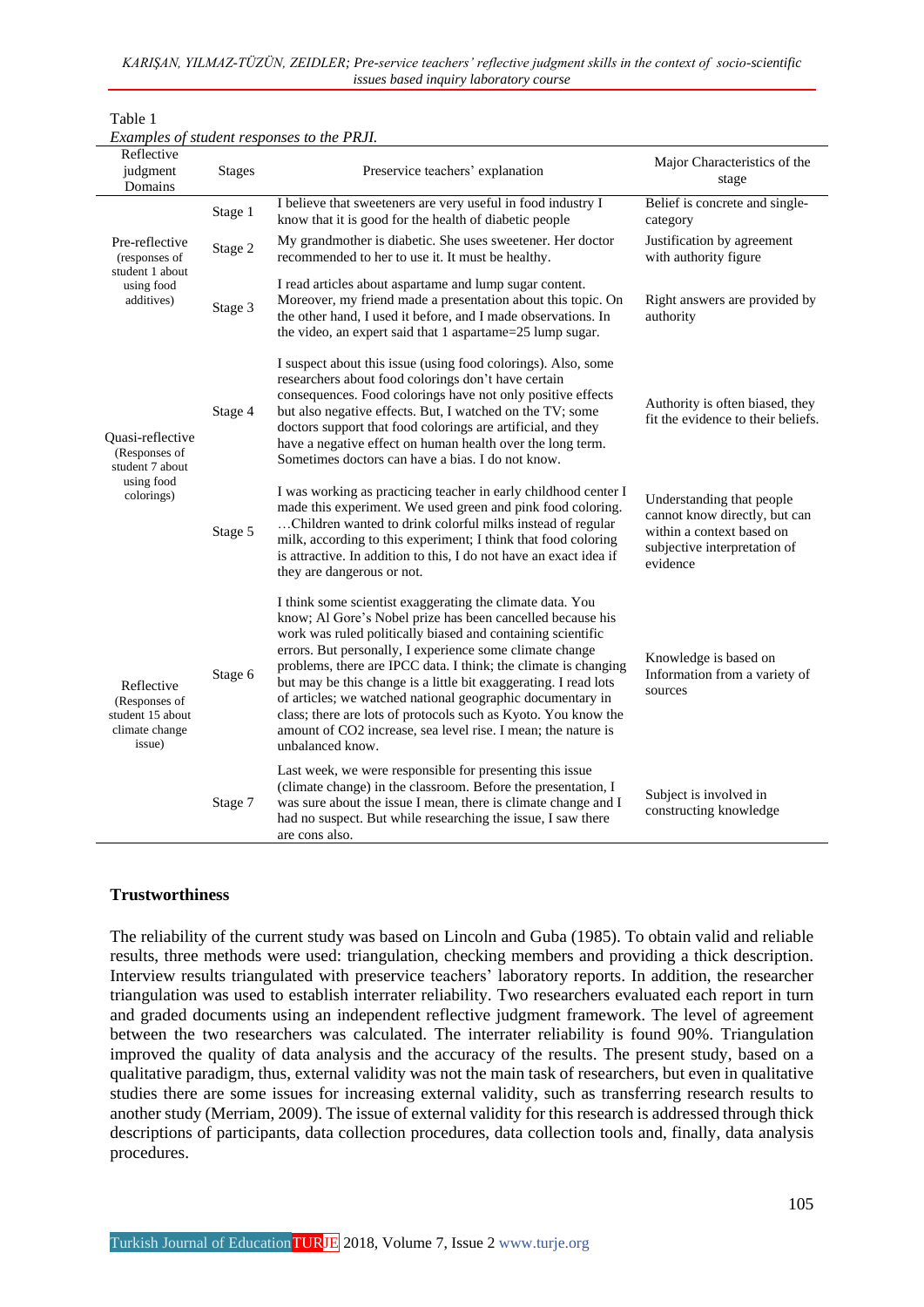|  | KARIŞAN, YILMAZ-TÜZÜN, ZEIDLER; Pre-service teachers' reflective judgment skills in the context of socio-scientific |  |  |  |
|--|---------------------------------------------------------------------------------------------------------------------|--|--|--|
|  | <i>issues based inquiry laboratory course</i>                                                                       |  |  |  |

| Examples of student responses to the PRJI.                                  |         |                                                                                                                                                                                                                                                                                                                                                                                                                                                                                                                                                                                                                |                                                                                                                                     |  |  |  |
|-----------------------------------------------------------------------------|---------|----------------------------------------------------------------------------------------------------------------------------------------------------------------------------------------------------------------------------------------------------------------------------------------------------------------------------------------------------------------------------------------------------------------------------------------------------------------------------------------------------------------------------------------------------------------------------------------------------------------|-------------------------------------------------------------------------------------------------------------------------------------|--|--|--|
| Reflective<br>judgment<br><b>Stages</b><br>Domains                          |         | Preservice teachers' explanation                                                                                                                                                                                                                                                                                                                                                                                                                                                                                                                                                                               | Major Characteristics of the<br>stage                                                                                               |  |  |  |
|                                                                             | Stage 1 | I believe that sweeteners are very useful in food industry I<br>know that it is good for the health of diabetic people                                                                                                                                                                                                                                                                                                                                                                                                                                                                                         | Belief is concrete and single-<br>category                                                                                          |  |  |  |
| Pre-reflective<br>(responses of                                             | Stage 2 | My grandmother is diabetic. She uses sweetener. Her doctor<br>recommended to her to use it. It must be healthy.                                                                                                                                                                                                                                                                                                                                                                                                                                                                                                | Justification by agreement<br>with authority figure                                                                                 |  |  |  |
| student 1 about<br>using food<br>additives)                                 | Stage 3 | I read articles about aspartame and lump sugar content.<br>Moreover, my friend made a presentation about this topic. On<br>the other hand, I used it before, and I made observations. In<br>the video, an expert said that 1 aspartame=25 lump sugar.                                                                                                                                                                                                                                                                                                                                                          | Right answers are provided by<br>authority                                                                                          |  |  |  |
| Quasi-reflective<br>(Responses of<br>student 7 about                        | Stage 4 | I suspect about this issue (using food colorings). Also, some<br>researchers about food colorings don't have certain<br>consequences. Food colorings have not only positive effects<br>but also negative effects. But, I watched on the TV; some<br>doctors support that food colorings are artificial, and they<br>have a negative effect on human health over the long term.<br>Sometimes doctors can have a bias. I do not know.                                                                                                                                                                            | Authority is often biased, they<br>fit the evidence to their beliefs.                                                               |  |  |  |
| using food<br>colorings)                                                    | Stage 5 | I was working as practicing teacher in early childhood center I<br>made this experiment. We used green and pink food coloring.<br>Children wanted to drink colorful milks instead of regular<br>milk, according to this experiment; I think that food coloring<br>is attractive. In addition to this, I do not have an exact idea if<br>they are dangerous or not.                                                                                                                                                                                                                                             | Understanding that people<br>cannot know directly, but can<br>within a context based on<br>subjective interpretation of<br>evidence |  |  |  |
| Reflective<br>(Responses of<br>student 15 about<br>climate change<br>issue) | Stage 6 | I think some scientist exaggerating the climate data. You<br>know; Al Gore's Nobel prize has been cancelled because his<br>work was ruled politically biased and containing scientific<br>errors. But personally, I experience some climate change<br>problems, there are IPCC data. I think; the climate is changing<br>but may be this change is a little bit exaggerating. I read lots<br>of articles; we watched national geographic documentary in<br>class; there are lots of protocols such as Kyoto. You know the<br>amount of CO2 increase, sea level rise. I mean; the nature is<br>unbalanced know. | Knowledge is based on<br>Information from a variety of<br>sources                                                                   |  |  |  |
|                                                                             | Stage 7 | Last week, we were responsible for presenting this issue<br>(climate change) in the classroom. Before the presentation, I<br>was sure about the issue I mean, there is climate change and I<br>had no suspect. But while researching the issue, I saw there<br>are cons also.                                                                                                                                                                                                                                                                                                                                  | Subject is involved in<br>constructing knowledge                                                                                    |  |  |  |

## **Trustworthiness**

Table 1

The reliability of the current study was based on Lincoln and Guba (1985). To obtain valid and reliable results, three methods were used: triangulation, checking members and providing a thick description. Interview results triangulated with preservice teachers' laboratory reports. In addition, the researcher triangulation was used to establish interrater reliability. Two researchers evaluated each report in turn and graded documents using an independent reflective judgment framework. The level of agreement between the two researchers was calculated. The interrater reliability is found 90%. Triangulation improved the quality of data analysis and the accuracy of the results. The present study, based on a qualitative paradigm, thus, external validity was not the main task of researchers, but even in qualitative studies there are some issues for increasing external validity, such as transferring research results to another study (Merriam, 2009). The issue of external validity for this research is addressed through thick descriptions of participants, data collection procedures, data collection tools and, finally, data analysis procedures.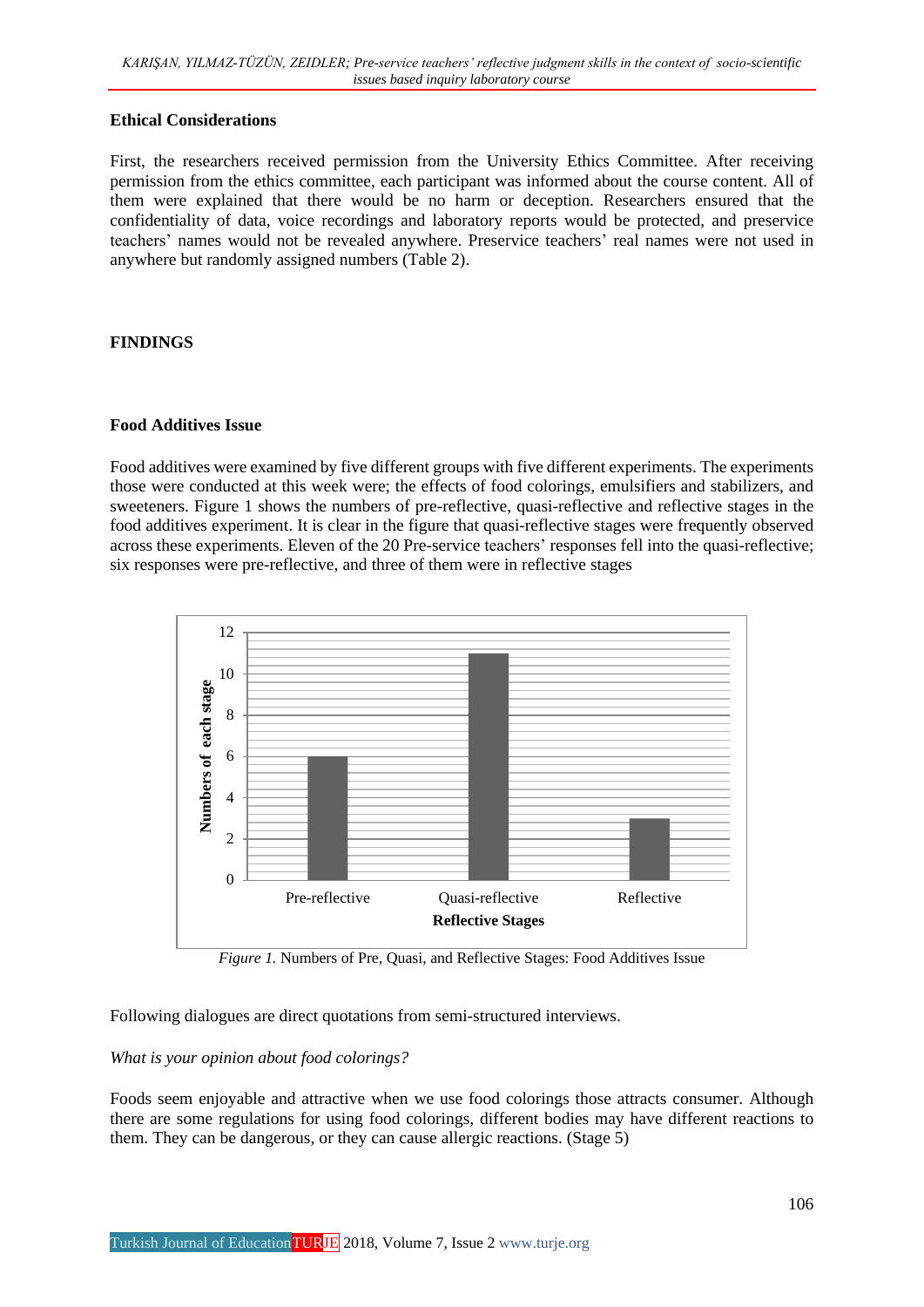#### **Ethical Considerations**

First, the researchers received permission from the University Ethics Committee. After receiving permission from the ethics committee, each participant was informed about the course content. All of them were explained that there would be no harm or deception. Researchers ensured that the confidentiality of data, voice recordings and laboratory reports would be protected, and preservice teachers' names would not be revealed anywhere. Preservice teachers' real names were not used in anywhere but randomly assigned numbers (Table 2).

#### **FINDINGS**

#### **Food Additives Issue**

Food additives were examined by five different groups with five different experiments. The experiments those were conducted at this week were; the effects of food colorings, emulsifiers and stabilizers, and sweeteners. Figure 1 shows the numbers of pre-reflective, quasi-reflective and reflective stages in the food additives experiment. It is clear in the figure that quasi-reflective stages were frequently observed across these experiments. Eleven of the 20 Pre-service teachers' responses fell into the quasi-reflective; six responses were pre-reflective, and three of them were in reflective stages



*Figure 1.* Numbers of Pre, Quasi, and Reflective Stages: Food Additives Issue

Following dialogues are direct quotations from semi-structured interviews.

## *What is your opinion about food colorings?*

Foods seem enjoyable and attractive when we use food colorings those attracts consumer. Although there are some regulations for using food colorings, different bodies may have different reactions to them. They can be dangerous, or they can cause allergic reactions. (Stage 5)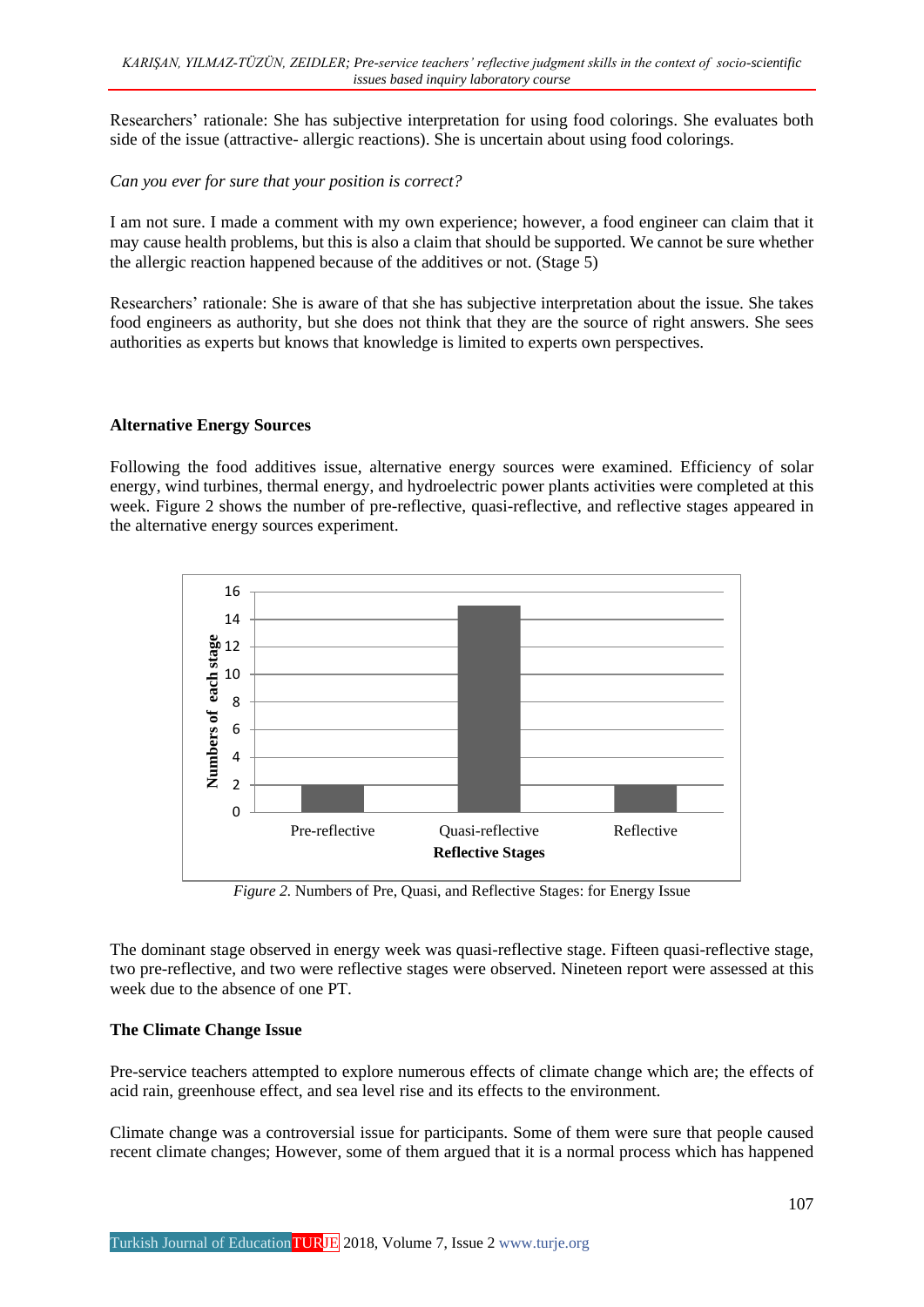Researchers' rationale: She has subjective interpretation for using food colorings. She evaluates both side of the issue (attractive- allergic reactions). She is uncertain about using food colorings.

*Can you ever for sure that your position is correct?*

I am not sure. I made a comment with my own experience; however, a food engineer can claim that it may cause health problems, but this is also a claim that should be supported. We cannot be sure whether the allergic reaction happened because of the additives or not. (Stage 5)

Researchers' rationale: She is aware of that she has subjective interpretation about the issue. She takes food engineers as authority, but she does not think that they are the source of right answers. She sees authorities as experts but knows that knowledge is limited to experts own perspectives.

#### **Alternative Energy Sources**

Following the food additives issue, alternative energy sources were examined. Efficiency of solar energy, wind turbines, thermal energy, and hydroelectric power plants activities were completed at this week. Figure 2 shows the number of pre-reflective, quasi-reflective, and reflective stages appeared in the alternative energy sources experiment.



*Figure 2.* Numbers of Pre, Quasi, and Reflective Stages: for Energy Issue

The dominant stage observed in energy week was quasi-reflective stage. Fifteen quasi-reflective stage, two pre-reflective, and two were reflective stages were observed. Nineteen report were assessed at this week due to the absence of one PT.

## **The Climate Change Issue**

Pre-service teachers attempted to explore numerous effects of climate change which are; the effects of acid rain, greenhouse effect, and sea level rise and its effects to the environment.

Climate change was a controversial issue for participants. Some of them were sure that people caused recent climate changes; However, some of them argued that it is a normal process which has happened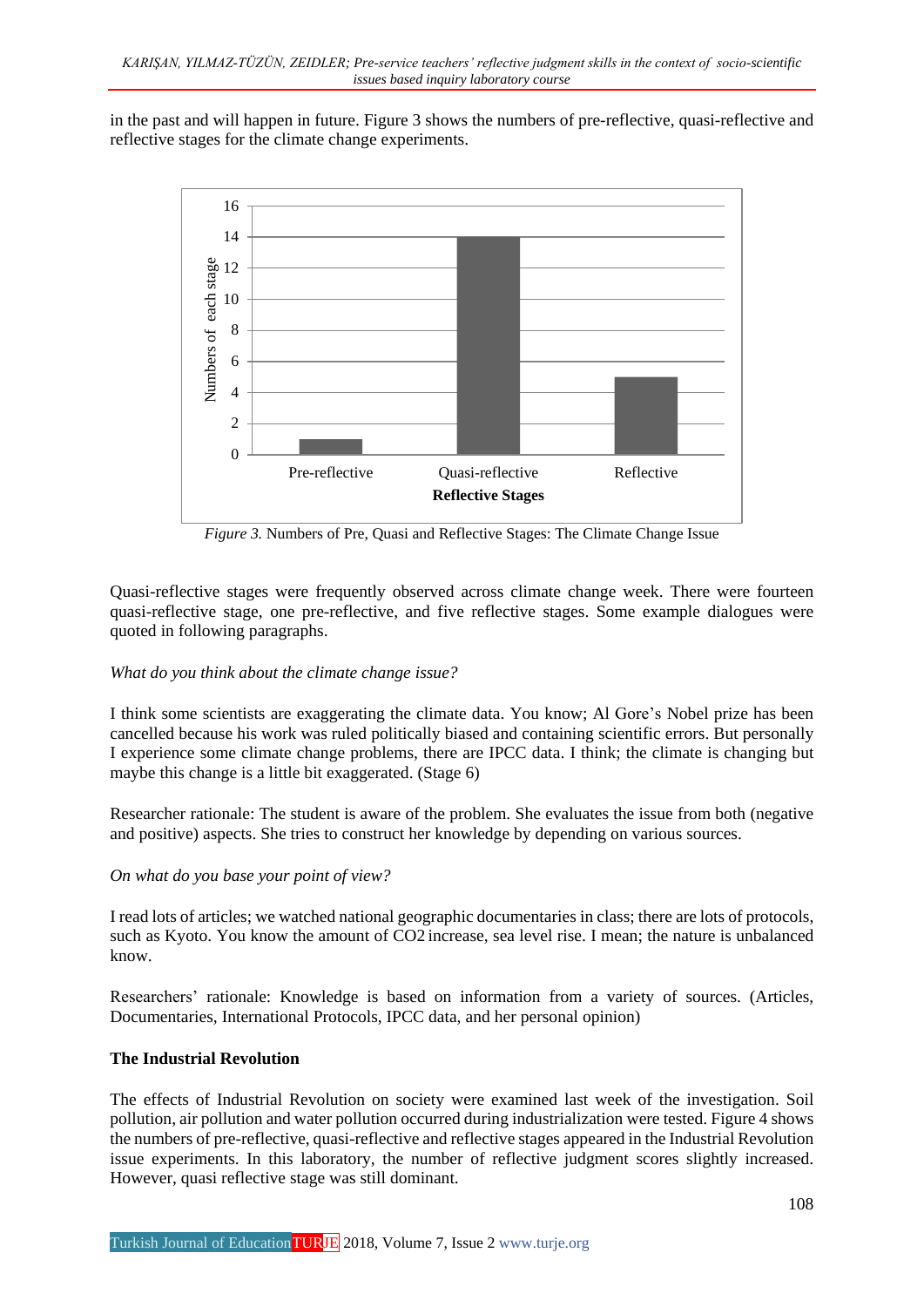in the past and will happen in future. Figure 3 shows the numbers of pre-reflective, quasi-reflective and reflective stages for the climate change experiments.



*Figure 3.* Numbers of Pre, Quasi and Reflective Stages: The Climate Change Issue

Quasi-reflective stages were frequently observed across climate change week. There were fourteen quasi-reflective stage, one pre-reflective, and five reflective stages. Some example dialogues were quoted in following paragraphs.

## *What do you think about the climate change issue?*

I think some scientists are exaggerating the climate data. You know; Al Gore's Nobel prize has been cancelled because his work was ruled politically biased and containing scientific errors. But personally I experience some climate change problems, there are IPCC data. I think; the climate is changing but maybe this change is a little bit exaggerated. (Stage 6)

Researcher rationale: The student is aware of the problem. She evaluates the issue from both (negative and positive) aspects. She tries to construct her knowledge by depending on various sources.

#### *On what do you base your point of view?*

I read lots of articles; we watched national geographic documentaries in class; there are lots of protocols, such as Kyoto. You know the amount of CO2 increase, sea level rise. I mean; the nature is unbalanced know.

Researchers' rationale: Knowledge is based on information from a variety of sources. (Articles, Documentaries, International Protocols, IPCC data, and her personal opinion)

#### **The Industrial Revolution**

The effects of Industrial Revolution on society were examined last week of the investigation. Soil pollution, air pollution and water pollution occurred during industrialization were tested. Figure 4 shows the numbers of pre-reflective, quasi-reflective and reflective stages appeared in the Industrial Revolution issue experiments. In this laboratory, the number of reflective judgment scores slightly increased. However, quasi reflective stage was still dominant.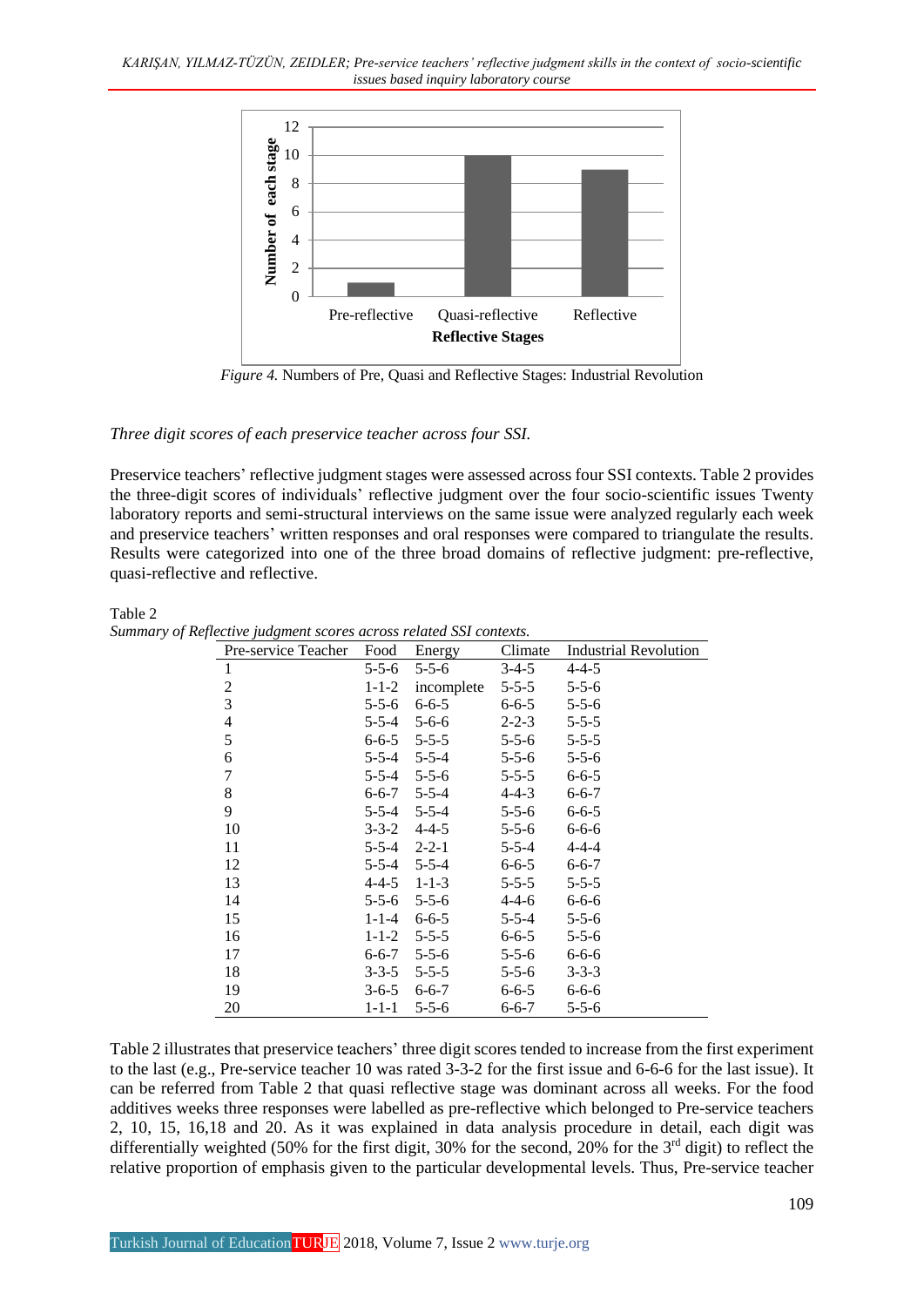*KARIŞAN, YILMAZ-TÜZÜN, ZEIDLER; Pre-service teachers' reflective judgment skills in the context of socio-scientific issues based inquiry laboratory course*



*Figure 4.* Numbers of Pre, Quasi and Reflective Stages: Industrial Revolution

*Three digit scores of each preservice teacher across four SSI.*

Preservice teachers' reflective judgment stages were assessed across four SSI contexts. Table 2 provides the three-digit scores of individuals' reflective judgment over the four socio-scientific issues Twenty laboratory reports and semi-structural interviews on the same issue were analyzed regularly each week and preservice teachers' written responses and oral responses were compared to triangulate the results. Results were categorized into one of the three broad domains of reflective judgment: pre-reflective, quasi-reflective and reflective.

Table 2 *Summary of Reflective judgment scores across related SSI contexts.*

| Pre-service Teacher      | Food        | Energy            | Climate     | <b>Industrial Revolution</b> |
|--------------------------|-------------|-------------------|-------------|------------------------------|
| $\mathbf{1}$             | $5 - 5 - 6$ | $5 - 5 - 6$       | $3-4-5$     | $4 - 4 - 5$                  |
| $\mathfrak{2}$           | $1 - 1 - 2$ | incomplete        | $5 - 5 - 5$ | $5 - 5 - 6$                  |
| 3                        | $5 - 5 - 6$ | $6 - 6 - 5$       | $6 - 6 - 5$ | $5 - 5 - 6$                  |
| $\overline{\mathcal{L}}$ | $5 - 5 - 4$ | $5 - 6 - 6$       | $2 - 2 - 3$ | $5 - 5 - 5$                  |
| 5                        | $6 - 6 - 5$ | $5 - 5 - 5$       | $5 - 5 - 6$ | $5 - 5 - 5$                  |
| 6                        |             | 5-5-4 5-5-4       | $5 - 5 - 6$ | $5 - 5 - 6$                  |
| 7                        |             | $5-5-4$ $5-5-6$   | $5 - 5 - 5$ | $6 - 6 - 5$                  |
| 8                        |             | $6 - 6 - 7$ 5-5-4 | $4 - 4 - 3$ | $6 - 6 - 7$                  |
| 9                        |             | 5-5-4 5-5-4       | $5 - 5 - 6$ | $6 - 6 - 5$                  |
| 10                       | $3 - 3 - 2$ | $4 - 4 - 5$       | $5 - 5 - 6$ | $6 - 6 - 6$                  |
| 11                       |             | $5-5-4$ $2-2-1$   | $5 - 5 - 4$ | $4 - 4 - 4$                  |
| 12                       |             | 5-5-4 5-5-4       | $6 - 6 - 5$ | $6 - 6 - 7$                  |
| 13                       |             | $4-4-5$ 1-1-3     | $5 - 5 - 5$ | $5 - 5 - 5$                  |
| 14                       | $5 - 5 - 6$ | $5 - 5 - 6$       | $4 - 4 - 6$ | $6 - 6 - 6$                  |
| 15                       | $1 - 1 - 4$ | $6 - 6 - 5$       | $5 - 5 - 4$ | $5 - 5 - 6$                  |
| 16                       | $1 - 1 - 2$ | $5 - 5 - 5$       | $6 - 6 - 5$ | $5 - 5 - 6$                  |
| 17                       | $6 - 6 - 7$ | $5 - 5 - 6$       | $5 - 5 - 6$ | $6 - 6 - 6$                  |
| 18                       | $3 - 3 - 5$ | $5 - 5 - 5$       | $5 - 5 - 6$ | $3 - 3 - 3$                  |
| 19                       | $3 - 6 - 5$ | $6 - 6 - 7$       | $6 - 6 - 5$ | $6 - 6 - 6$                  |
| 20                       | $1 - 1 - 1$ | $5 - 5 - 6$       | $6 - 6 - 7$ | $5 - 5 - 6$                  |

Table 2 illustrates that preservice teachers' three digit scores tended to increase from the first experiment to the last (e.g., Pre-service teacher 10 was rated 3-3-2 for the first issue and 6-6-6 for the last issue). It can be referred from Table 2 that quasi reflective stage was dominant across all weeks. For the food additives weeks three responses were labelled as pre-reflective which belonged to Pre-service teachers 2, 10, 15, 16,18 and 20. As it was explained in data analysis procedure in detail, each digit was differentially weighted (50% for the first digit, 30% for the second, 20% for the 3<sup>rd</sup> digit) to reflect the relative proportion of emphasis given to the particular developmental levels. Thus, Pre-service teacher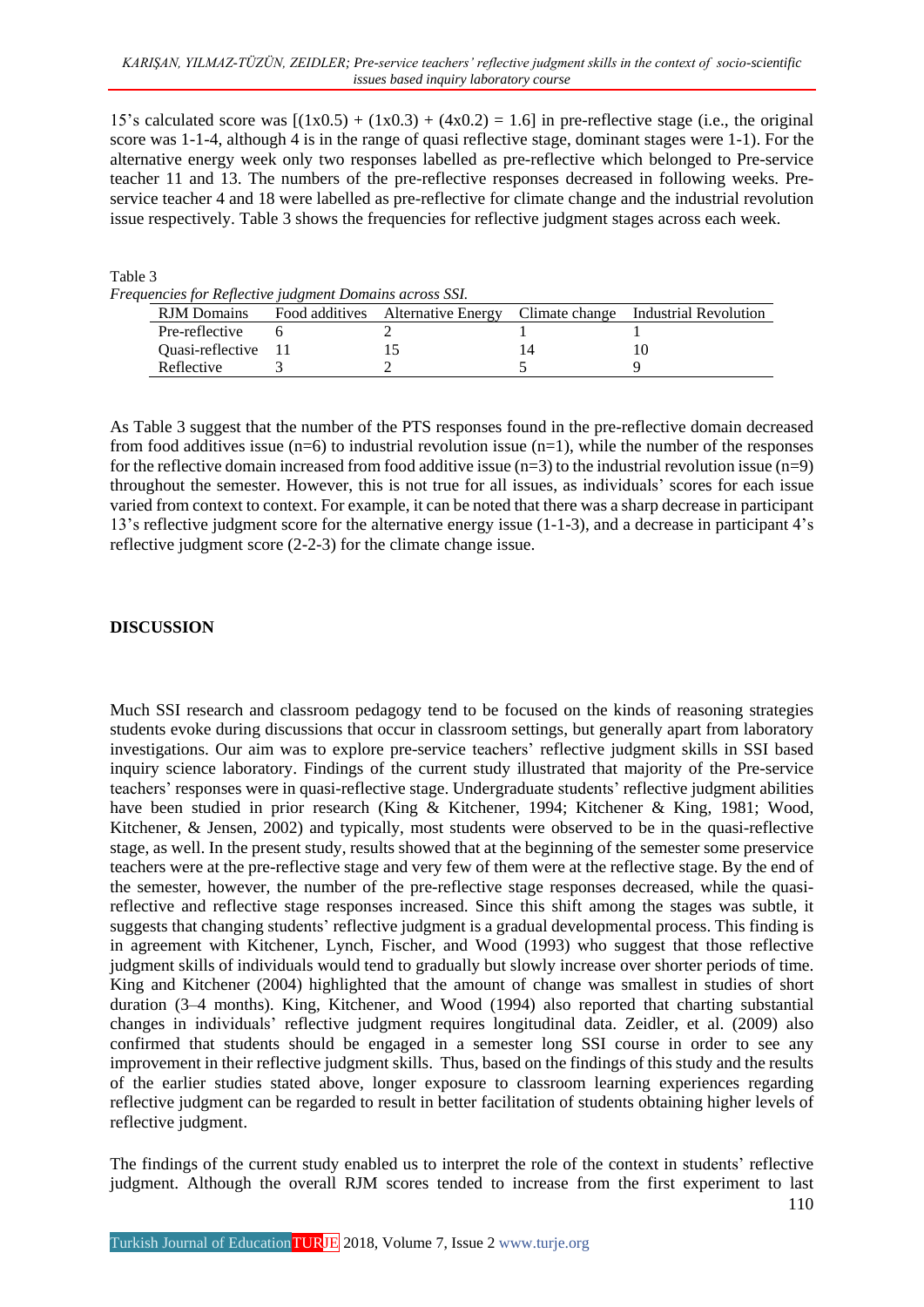15's calculated score was  $[(1x0.5) + (1x0.3) + (4x0.2) = 1.6]$  in pre-reflective stage (i.e., the original score was 1-1-4, although 4 is in the range of quasi reflective stage, dominant stages were 1-1). For the alternative energy week only two responses labelled as pre-reflective which belonged to Pre-service teacher 11 and 13. The numbers of the pre-reflective responses decreased in following weeks. Preservice teacher 4 and 18 were labelled as pre-reflective for climate change and the industrial revolution issue respectively. Table 3 shows the frequencies for reflective judgment stages across each week.

Table 3

*Frequencies for Reflective judgment Domains across SSI.*

| cheles for hefteelive faagment Domains deross spil<br><b>RJM</b> Domains |  | Food additives Alternative Energy Climate change Industrial Revolution |
|--------------------------------------------------------------------------|--|------------------------------------------------------------------------|
| Pre-reflective                                                           |  |                                                                        |
| Ouasi-reflective 11                                                      |  |                                                                        |
| Reflective                                                               |  |                                                                        |

As Table 3 suggest that the number of the PTS responses found in the pre-reflective domain decreased from food additives issue  $(n=6)$  to industrial revolution issue  $(n=1)$ , while the number of the responses for the reflective domain increased from food additive issue  $(n=3)$  to the industrial revolution issue  $(n=9)$ throughout the semester. However, this is not true for all issues, as individuals' scores for each issue varied from context to context. For example, it can be noted that there was a sharp decrease in participant 13's reflective judgment score for the alternative energy issue (1-1-3), and a decrease in participant 4's reflective judgment score (2-2-3) for the climate change issue.

#### **DISCUSSION**

Much SSI research and classroom pedagogy tend to be focused on the kinds of reasoning strategies students evoke during discussions that occur in classroom settings, but generally apart from laboratory investigations. Our aim was to explore pre-service teachers' reflective judgment skills in SSI based inquiry science laboratory. Findings of the current study illustrated that majority of the Pre-service teachers' responses were in quasi-reflective stage. Undergraduate students' reflective judgment abilities have been studied in prior research (King & Kitchener, 1994; Kitchener & King, 1981; Wood, Kitchener, & Jensen, 2002) and typically, most students were observed to be in the quasi-reflective stage, as well. In the present study, results showed that at the beginning of the semester some preservice teachers were at the pre-reflective stage and very few of them were at the reflective stage. By the end of the semester, however, the number of the pre-reflective stage responses decreased, while the quasireflective and reflective stage responses increased. Since this shift among the stages was subtle, it suggests that changing students' reflective judgment is a gradual developmental process. This finding is in agreement with Kitchener, Lynch, Fischer, and Wood (1993) who suggest that those reflective judgment skills of individuals would tend to gradually but slowly increase over shorter periods of time. King and Kitchener (2004) highlighted that the amount of change was smallest in studies of short duration (3–4 months). King, Kitchener, and Wood (1994) also reported that charting substantial changes in individuals' reflective judgment requires longitudinal data. Zeidler, et al. (2009) also confirmed that students should be engaged in a semester long SSI course in order to see any improvement in their reflective judgment skills. Thus, based on the findings of this study and the results of the earlier studies stated above, longer exposure to classroom learning experiences regarding reflective judgment can be regarded to result in better facilitation of students obtaining higher levels of reflective judgment.

The findings of the current study enabled us to interpret the role of the context in students' reflective judgment. Although the overall RJM scores tended to increase from the first experiment to last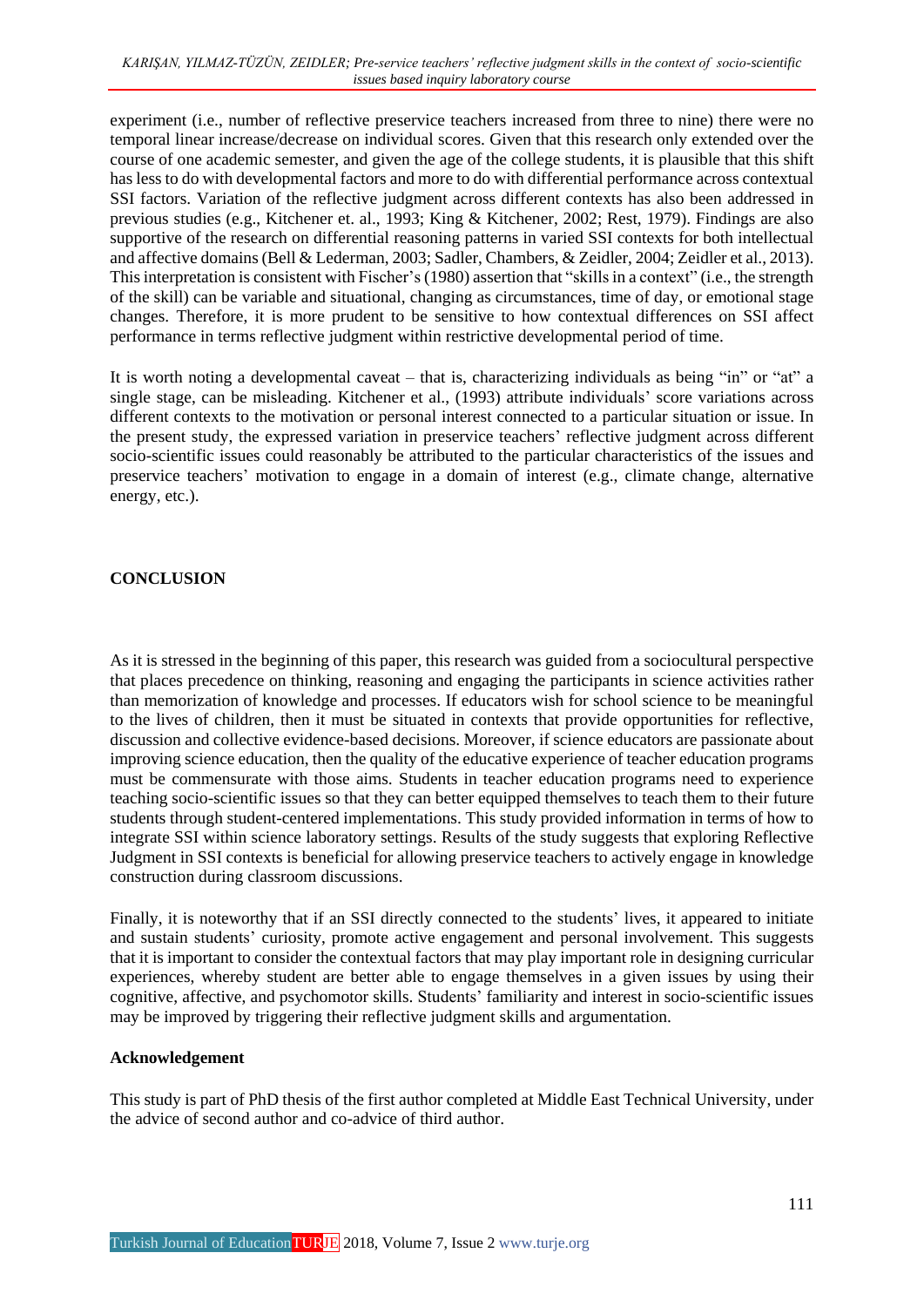experiment (i.e., number of reflective preservice teachers increased from three to nine) there were no temporal linear increase/decrease on individual scores. Given that this research only extended over the course of one academic semester, and given the age of the college students, it is plausible that this shift has less to do with developmental factors and more to do with differential performance across contextual SSI factors. Variation of the reflective judgment across different contexts has also been addressed in previous studies (e.g., Kitchener et. al., 1993; King & Kitchener, 2002; Rest, 1979). Findings are also supportive of the research on differential reasoning patterns in varied SSI contexts for both intellectual and affective domains(Bell & Lederman, 2003; Sadler, Chambers, & Zeidler, 2004; Zeidler et al., 2013). This interpretation is consistent with Fischer's (1980) assertion that "skills in a context" (i.e., the strength of the skill) can be variable and situational, changing as circumstances, time of day, or emotional stage changes. Therefore, it is more prudent to be sensitive to how contextual differences on SSI affect performance in terms reflective judgment within restrictive developmental period of time.

It is worth noting a developmental caveat – that is, characterizing individuals as being "in" or "at" a single stage, can be misleading. Kitchener et al., (1993) attribute individuals' score variations across different contexts to the motivation or personal interest connected to a particular situation or issue. In the present study, the expressed variation in preservice teachers' reflective judgment across different socio-scientific issues could reasonably be attributed to the particular characteristics of the issues and preservice teachers' motivation to engage in a domain of interest (e.g., climate change, alternative energy, etc.).

## **CONCLUSION**

As it is stressed in the beginning of this paper, this research was guided from a sociocultural perspective that places precedence on thinking, reasoning and engaging the participants in science activities rather than memorization of knowledge and processes. If educators wish for school science to be meaningful to the lives of children, then it must be situated in contexts that provide opportunities for reflective, discussion and collective evidence-based decisions. Moreover, if science educators are passionate about improving science education, then the quality of the educative experience of teacher education programs must be commensurate with those aims. Students in teacher education programs need to experience teaching socio-scientific issues so that they can better equipped themselves to teach them to their future students through student-centered implementations. This study provided information in terms of how to integrate SSI within science laboratory settings. Results of the study suggests that exploring Reflective Judgment in SSI contexts is beneficial for allowing preservice teachers to actively engage in knowledge construction during classroom discussions.

Finally, it is noteworthy that if an SSI directly connected to the students' lives, it appeared to initiate and sustain students' curiosity, promote active engagement and personal involvement. This suggests that it is important to consider the contextual factors that may play important role in designing curricular experiences, whereby student are better able to engage themselves in a given issues by using their cognitive, affective, and psychomotor skills. Students' familiarity and interest in socio-scientific issues may be improved by triggering their reflective judgment skills and argumentation.

## **Acknowledgement**

This study is part of PhD thesis of the first author completed at Middle East Technical University, under the advice of second author and co-advice of third author.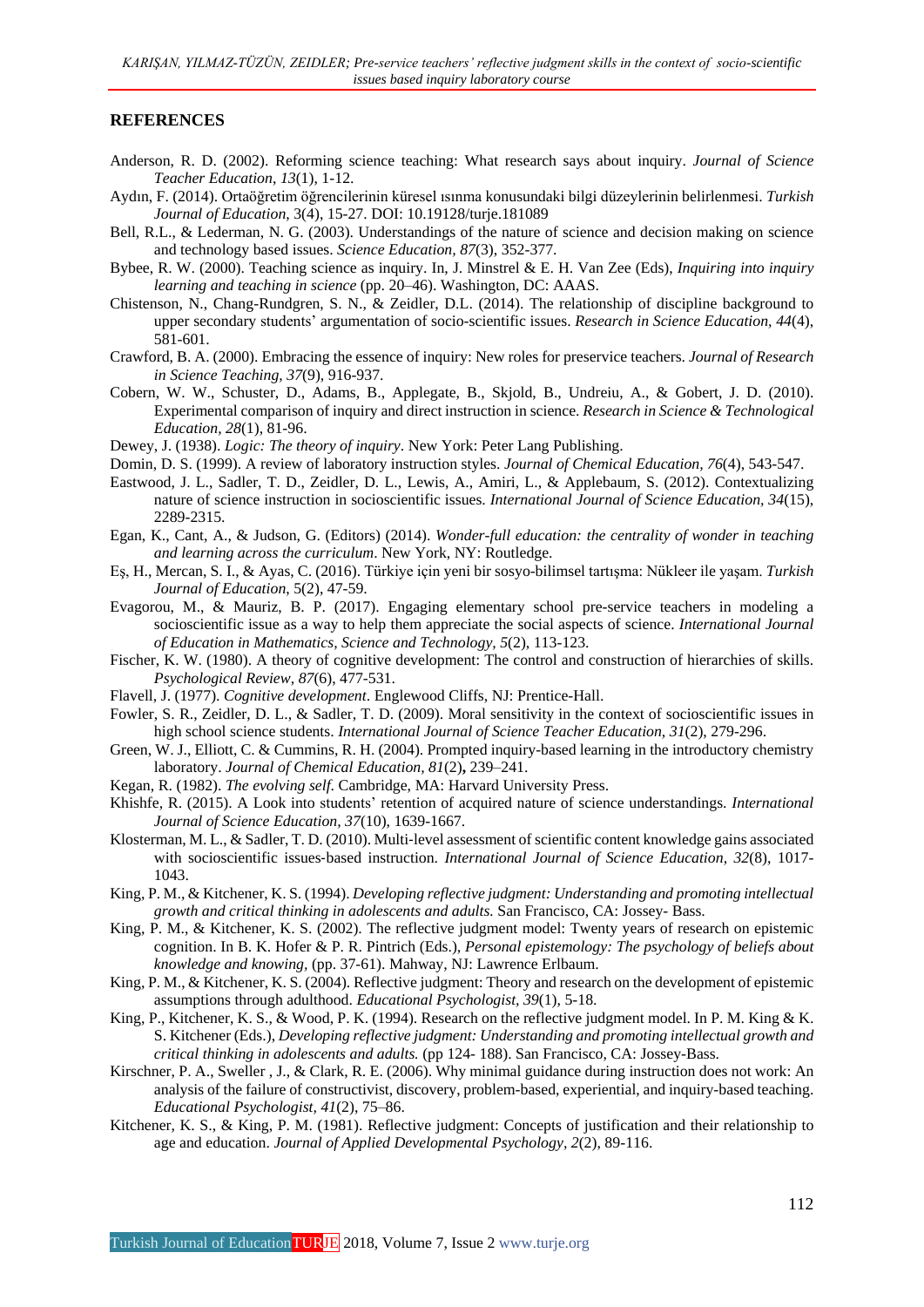#### **REFERENCES**

- Anderson, R. D. (2002). Reforming science teaching: What research says about inquiry. *Journal of Science Teacher Education*, *13*(1), 1-12.
- Aydın, F. (2014). Ortaöğretim öğrencilerinin küresel ısınma konusundaki bilgi düzeylerinin belirlenmesi. *Turkish Journal of Education*, 3(4), 15-27. DOI: 10.19128/turje.181089
- Bell, R.L., & Lederman, N. G. (2003). Understandings of the nature of science and decision making on science and technology based issues. *Science Education, 87*(3), 352-377.
- Bybee, R. W. (2000). Teaching science as inquiry. In, J. Minstrel & E. H. Van Zee (Eds), *Inquiring into inquiry learning and teaching in science* (pp. 20–46). Washington, DC: AAAS.
- Chistenson, N., Chang-Rundgren, S. N., & Zeidler, D.L. (2014). The relationship of discipline background to upper secondary students' argumentation of socio-scientific issues. *Research in Science Education, 44*(4), 581-601.
- Crawford, B. A. (2000). Embracing the essence of inquiry: New roles for preservice teachers. *Journal of Research in Science Teaching, 37*(9), 916-937.
- Cobern, W. W., Schuster, D., Adams, B., Applegate, B., Skjold, B., Undreiu, A., & Gobert, J. D. (2010). Experimental comparison of inquiry and direct instruction in science. *Research in Science & Technological Education, 28*(1), 81-96.
- Dewey, J. (1938). *Logic: The theory of inquiry*. New York: Peter Lang Publishing.
- Domin, D. S. (1999). A review of laboratory instruction styles. *Journal of Chemical Education, 76*(4), 543-547.
- Eastwood, J. L., Sadler, T. D., Zeidler, D. L., Lewis, A., Amiri, L., & Applebaum, S. (2012). Contextualizing nature of science instruction in socioscientific issues. *International Journal of Science Education, 34*(15), 2289-2315.
- Egan, K., Cant, A., & Judson, G. (Editors) (2014). *Wonder-full education: the centrality of wonder in teaching and learning across the curriculum*. New York, NY: Routledge.
- Eş, H., Mercan, S. I., & Ayas, C. (2016). Türkiye için yeni bir sosyo-bilimsel tartışma: Nükleer ile yaşam. *Turkish Journal of Education*, 5(2), 47-59.
- Evagorou, M., & Mauriz, B. P. (2017). Engaging elementary school pre-service teachers in modeling a socioscientific issue as a way to help them appreciate the social aspects of science. *International Journal of Education in Mathematics, Science and Technology, 5*(2), 113-123.
- Fischer, K. W. (1980). A theory of cognitive development: The control and construction of hierarchies of skills. *Psychological Review, 87*(6), 477-531.
- Flavell, J. (1977). *Cognitive development*. Englewood Cliffs, NJ: Prentice-Hall.
- Fowler, S. R., Zeidler, D. L., & Sadler, T. D. (2009). Moral sensitivity in the context of socioscientific issues in high school science students. *International Journal of Science Teacher Education, 31*(2), 279-296.
- Green, W. J., Elliott, C. & Cummins, R. H. (2004). Prompted inquiry-based learning in the introductory chemistry laboratory. *Journal of Chemical Education, 81*(2)**,** 239–241.
- Kegan, R. (1982). *The evolving self*. Cambridge, MA: Harvard University Press.
- Khishfe, R. (2015). A Look into students' retention of acquired nature of science understandings. *International Journal of Science Education, 37*(10), 1639-1667.
- Klosterman, M. L., & Sadler, T. D. (2010). Multi-level assessment of scientific content knowledge gains associated with socioscientific issues‐based instruction. *International Journal of Science Education, 32*(8), 1017- 1043.
- King, P. M., & Kitchener, K. S. (1994). *Developing reflective judgment: Understanding and promoting intellectual growth and critical thinking in adolescents and adults.* San Francisco, CA: Jossey- Bass.
- King, P. M., & Kitchener, K. S. (2002). The reflective judgment model: Twenty years of research on epistemic cognition. In B. K. Hofer & P. R. Pintrich (Eds.), *Personal epistemology: The psychology of beliefs about knowledge and knowing,* (pp. 37-61). Mahway, NJ: Lawrence Erlbaum.
- King, P. M., & Kitchener, K. S. (2004). Reflective judgment: Theory and research on the development of epistemic assumptions through adulthood. *Educational Psychologist, 39*(1), 5-18.
- King, P., Kitchener, K. S., & Wood, P. K. (1994). Research on the reflective judgment model. In P. M. King & K. S. Kitchener (Eds.), *Developing reflective judgment: Understanding and promoting intellectual growth and critical thinking in adolescents and adults.* (pp 124- 188). San Francisco, CA: Jossey-Bass.
- Kirschner, P. A., Sweller , J., & Clark, R. E. (2006). Why minimal guidance during instruction does not work: An analysis of the failure of constructivist, discovery, problem-based, experiential, and inquiry-based teaching. *Educational Psychologist, 41*(2), 75–86.
- Kitchener, K. S., & King, P. M. (1981). Reflective judgment: Concepts of justification and their relationship to age and education. *Journal of Applied Developmental Psychology, 2*(2), 89-116.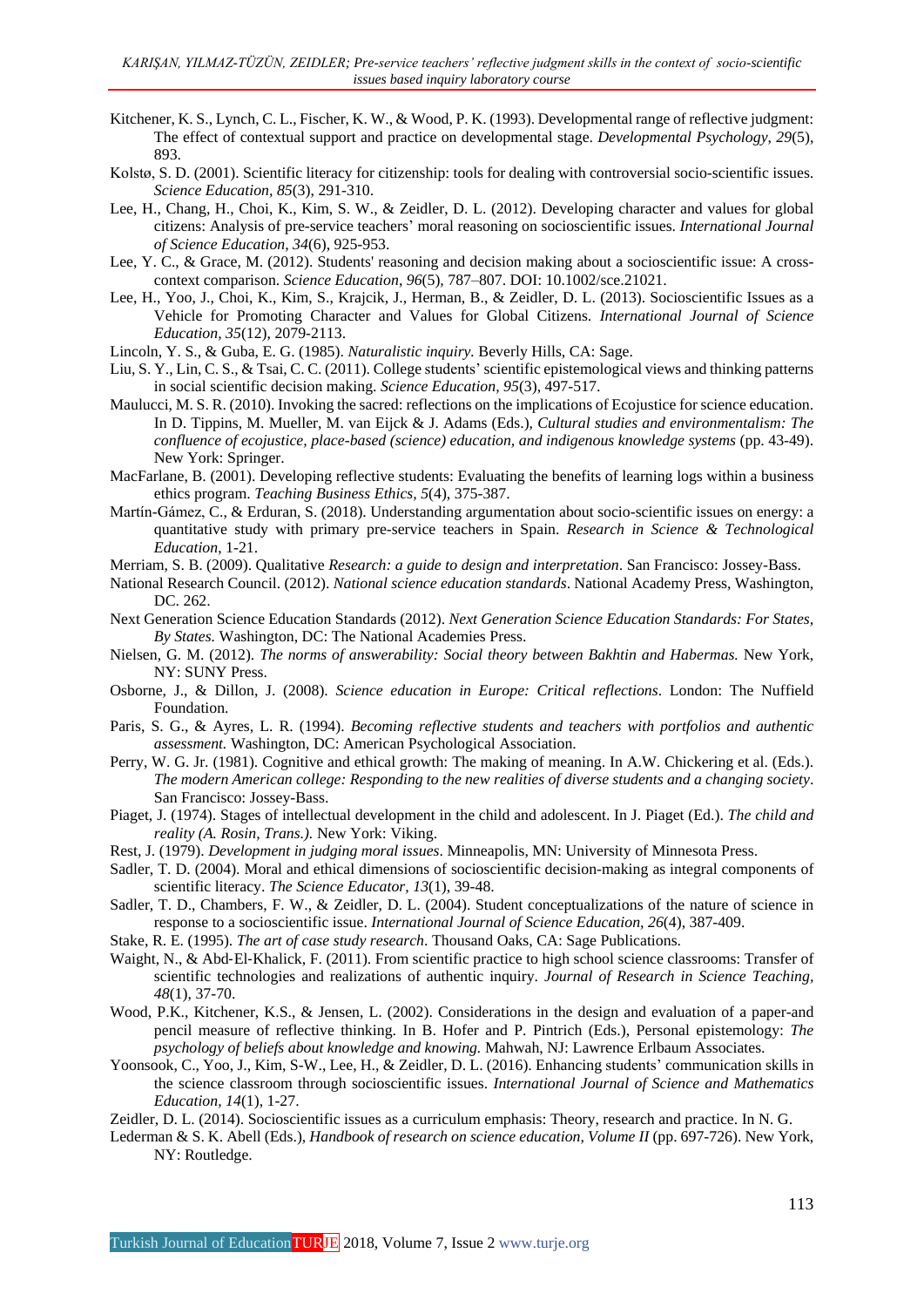- Kitchener, K. S., Lynch, C. L., Fischer, K. W., & Wood, P. K. (1993). Developmental range of reflective judgment: The effect of contextual support and practice on developmental stage. *Developmental Psychology*, *29*(5), 893.
- Kolstø, S. D. (2001). Scientific literacy for citizenship: tools for dealing with controversial [socio-scientific](http://www3.interscience.wiley.com/cgi-bin/abstract/78504640/ABSTRACT) issues. *Science Education, 85*(3), 291-310.
- Lee, H., Chang, H., Choi, K., Kim, S. W., & Zeidler, D. L. (2012). Developing character and values for global citizens: Analysis of pre-service teachers' moral reasoning on socioscientific issues. *International Journal of Science Education, 34*(6), 925-953.
- Lee, Y. C., & Grace, M. (2012). Students' reasoning and decision making about a socioscientific issue: A crosscontext comparison. *Science Education*, *96*(5)*,* 787–807. DOI: 10.1002/sce.21021.
- Lee, H., Yoo, J., Choi, K., Kim, S., Krajcik, J., Herman, B., & Zeidler, D. L. (2013). Socioscientific Issues as a Vehicle for Promoting Character and Values for Global Citizens. *International Journal of Science Education, 35*(12), 2079-2113.
- Lincoln, Y. S., & Guba, E. G. (1985). *Naturalistic inquiry.* Beverly Hills, CA: Sage.
- Liu, S. Y., Lin, C. S., & Tsai, C. C. (2011). College students' scientific epistemological views and thinking patterns in social scientific decision making. *Science Education, 95*(3), 497-517.
- Maulucci, M. S. R. (2010). Invoking the sacred: reflections on the implications of Ecojustice for science education. In D. Tippins, M. Mueller, M. van Eijck & J. Adams (Eds.), *Cultural studies and environmentalism: The confluence of ecojustice, place-based (science) education, and indigenous knowledge systems* (pp. 43-49). New York: Springer.
- MacFarlane, B. (2001). Developing reflective students: Evaluating the benefits of learning logs within a business ethics program. *Teaching Business Ethics, 5*(4), 375-387.
- Martín-Gámez, C., & Erduran, S. (2018). Understanding argumentation about socio-scientific issues on energy: a quantitative study with primary pre-service teachers in Spain. *Research in Science & Technological Education*, 1-21.
- Merriam, S. B. (2009). Qualitative *Research: a guide to design and interpretation*. San Francisco: Jossey-Bass.
- National Research Council. (2012). *National science education standards*. National Academy Press, Washington, DC. 262.
- Next Generation Science Education Standards (2012). *Next Generation Science Education Standards: For States, By States.* Washington, DC: The National Academies Press.
- Nielsen, G. M. (2012). *The norms of answerability: Social theory between Bakhtin and Habermas.* New York, NY: SUNY Press.
- Osborne, J., & Dillon, J. (2008). *Science education in Europe: Critical reflections*. London: The Nuffield Foundation.
- Paris, S. G., & Ayres, L. R. (1994). *Becoming reflective students and teachers with portfolios and authentic assessment.* Washington, DC: American Psychological Association.
- Perry, W. G. Jr. (1981). Cognitive and ethical growth: The making of meaning. In A.W. Chickering et al. (Eds.). *The modern American college: Responding to the new realities of diverse students and a changing society*. San Francisco: Jossey-Bass.
- Piaget, J. (1974). Stages of intellectual development in the child and adolescent. In J. Piaget (Ed.). *The child and reality (A. Rosin, Trans.).* New York: Viking.
- Rest, J. (1979). *Development in judging moral issues*. Minneapolis, MN: University of Minnesota Press.
- Sadler, T. D. (2004). Moral and ethical dimensions of socioscientific decision-making as integral components of scientific literacy. *The Science Educator, 13*(1), 39-48.
- Sadler, T. D., Chambers, F. W., & Zeidler, D. L. (2004). Student conceptualizations of the nature of science in response to a socioscientific issue. *International Journal of Science Education, 26*(4), 387-409.
- Stake, R. E. (1995). *The art of case study research*. Thousand Oaks, CA: Sage Publications.
- Waight, N., & Abd-El-Khalick, F. (2011). From scientific practice to high school science classrooms: Transfer of scientific technologies and realizations of authentic inquiry. *Journal of Research in Science Teaching, 48*(1), 37-70.
- Wood, P.K., Kitchener, K.S., & Jensen, L. (2002). Considerations in the design and evaluation of a paper-and pencil measure of reflective thinking. In B. Hofer and P. Pintrich (Eds.), Personal epistemology: *The psychology of beliefs about knowledge and knowing.* Mahwah, NJ: Lawrence Erlbaum Associates.
- Yoonsook, C., Yoo, J., Kim, S-W., Lee, H., & Zeidler, D. L. (2016). Enhancing students' communication skills in the science classroom through socioscientific issues. *International Journal of Science and Mathematics Education, 14*(1), 1-27.
- Zeidler, D. L. (2014). Socioscientific issues as a curriculum emphasis: Theory, research and practice. In N. G.
- Lederman & S. K. Abell (Eds.), *Handbook of research on science education, Volume II* (pp. 697-726). New York, NY: Routledge.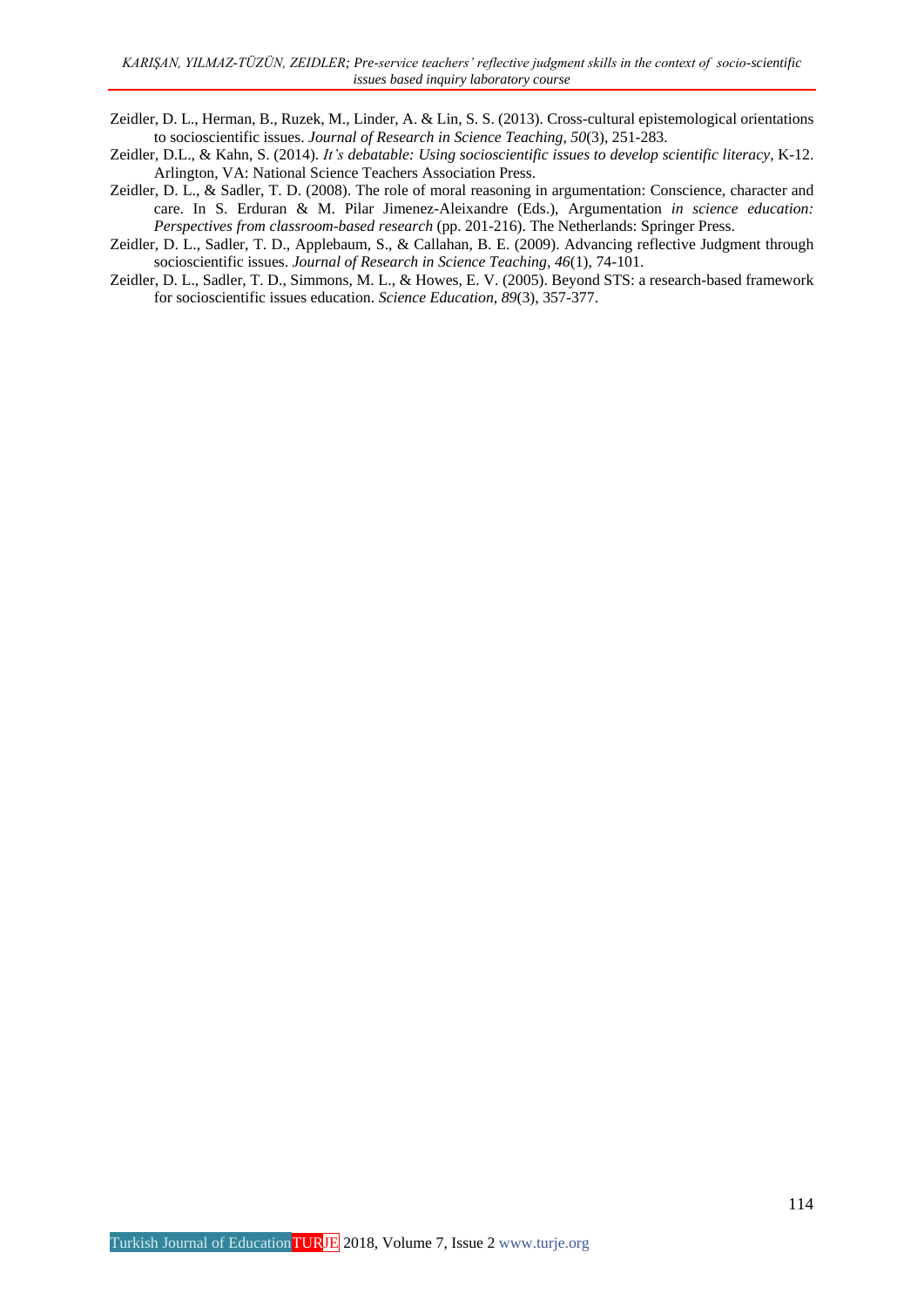- Zeidler, D. L., Herman, B., Ruzek, M., Linder, A. & Lin, S. S. (2013). Cross-cultural epistemological orientations to socioscientific issues. *Journal of Research in Science Teaching, 50*(3), 251-283.
- Zeidler, D.L., & Kahn, S. (2014). *It's debatable: Using socioscientific issues to develop scientific literacy*, K-12. Arlington, VA: National Science Teachers Association Press.
- Zeidler, D. L., & Sadler, T. D. (2008). The role of moral reasoning in argumentation: Conscience, character and care. In S. Erduran & M. Pilar Jimenez-Aleixandre (Eds.), Argumentation *in science education: Perspectives from classroom-based research* (pp. 201-216). The Netherlands: Springer Press.
- Zeidler, D. L., Sadler, T. D., Applebaum, S., & Callahan, B. E. (2009). Advancing reflective Judgment through socioscientific issues. *Journal of Research in Science Teaching, 46*(1), 74-101.
- Zeidler, D. L., Sadler, T. D., Simmons, M. L., & Howes, E. V. (2005). Beyond STS: a research-based framework for socioscientific issues education. *Science Education, 89*(3), 357-377.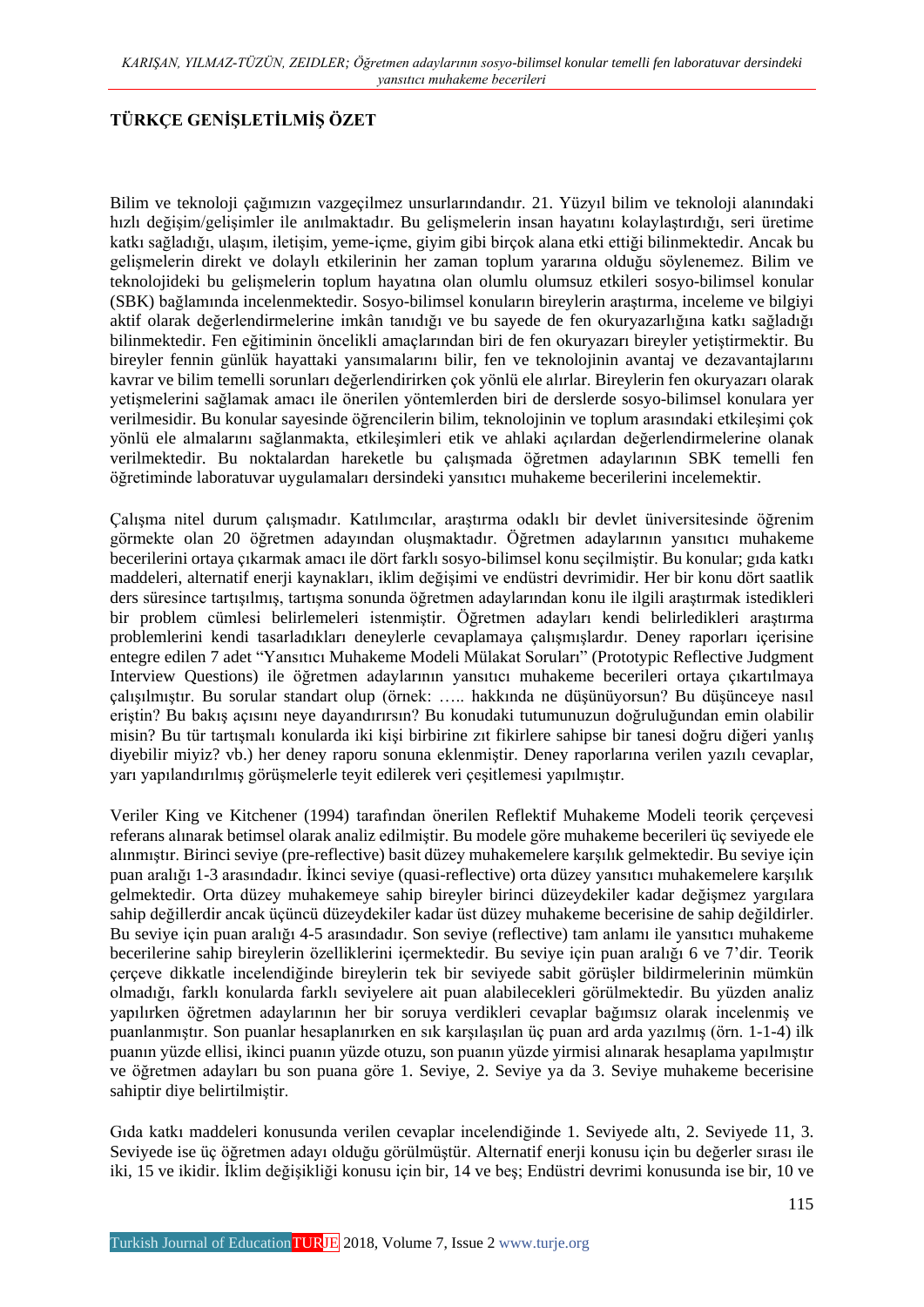## **TÜRKÇE GENİŞLETİLMİŞ ÖZET**

Bilim ve teknoloji çağımızın vazgeçilmez unsurlarındandır. 21. Yüzyıl bilim ve teknoloji alanındaki hızlı değişim/gelişimler ile anılmaktadır. Bu gelişmelerin insan hayatını kolaylaştırdığı, seri üretime katkı sağladığı, ulaşım, iletişim, yeme-içme, giyim gibi birçok alana etki ettiği bilinmektedir. Ancak bu gelişmelerin direkt ve dolaylı etkilerinin her zaman toplum yararına olduğu söylenemez. Bilim ve teknolojideki bu gelişmelerin toplum hayatına olan olumlu olumsuz etkileri sosyo-bilimsel konular (SBK) bağlamında incelenmektedir. Sosyo-bilimsel konuların bireylerin araştırma, inceleme ve bilgiyi aktif olarak değerlendirmelerine imkân tanıdığı ve bu sayede de fen okuryazarlığına katkı sağladığı bilinmektedir. Fen eğitiminin öncelikli amaçlarından biri de fen okuryazarı bireyler yetiştirmektir. Bu bireyler fennin günlük hayattaki yansımalarını bilir, fen ve teknolojinin avantaj ve dezavantajlarını kavrar ve bilim temelli sorunları değerlendirirken çok yönlü ele alırlar. Bireylerin fen okuryazarı olarak yetişmelerini sağlamak amacı ile önerilen yöntemlerden biri de derslerde sosyo-bilimsel konulara yer verilmesidir. Bu konular sayesinde öğrencilerin bilim, teknolojinin ve toplum arasındaki etkileşimi çok yönlü ele almalarını sağlanmakta, etkileşimleri etik ve ahlaki açılardan değerlendirmelerine olanak verilmektedir. Bu noktalardan hareketle bu çalışmada öğretmen adaylarının SBK temelli fen öğretiminde laboratuvar uygulamaları dersindeki yansıtıcı muhakeme becerilerini incelemektir.

Çalışma nitel durum çalışmadır. Katılımcılar, araştırma odaklı bir devlet üniversitesinde öğrenim görmekte olan 20 öğretmen adayından oluşmaktadır. Öğretmen adaylarının yansıtıcı muhakeme becerilerini ortaya çıkarmak amacı ile dört farklı sosyo-bilimsel konu seçilmiştir. Bu konular; gıda katkı maddeleri, alternatif enerji kaynakları, iklim değişimi ve endüstri devrimidir. Her bir konu dört saatlik ders süresince tartışılmış, tartışma sonunda öğretmen adaylarından konu ile ilgili araştırmak istedikleri bir problem cümlesi belirlemeleri istenmiştir. Öğretmen adayları kendi belirledikleri araştırma problemlerini kendi tasarladıkları deneylerle cevaplamaya çalışmışlardır. Deney raporları içerisine entegre edilen 7 adet "Yansıtıcı Muhakeme Modeli Mülakat Soruları" (Prototypic Reflective Judgment Interview Questions) ile öğretmen adaylarının yansıtıcı muhakeme becerileri ortaya çıkartılmaya çalışılmıştır. Bu sorular standart olup (örnek: ….. hakkında ne düşünüyorsun? Bu düşünceye nasıl eriştin? Bu bakış açısını neye dayandırırsın? Bu konudaki tutumunuzun doğruluğundan emin olabilir misin? Bu tür tartışmalı konularda iki kişi birbirine zıt fikirlere sahipse bir tanesi doğru diğeri yanlış diyebilir miyiz? vb.) her deney raporu sonuna eklenmiştir. Deney raporlarına verilen yazılı cevaplar, yarı yapılandırılmış görüşmelerle teyit edilerek veri çeşitlemesi yapılmıştır.

Veriler King ve Kitchener (1994) tarafından önerilen Reflektif Muhakeme Modeli teorik çerçevesi referans alınarak betimsel olarak analiz edilmiştir. Bu modele göre muhakeme becerileri üç seviyede ele alınmıştır. Birinci seviye (pre-reflective) basit düzey muhakemelere karşılık gelmektedir. Bu seviye için puan aralığı 1-3 arasındadır. İkinci seviye (quasi-reflective) orta düzey yansıtıcı muhakemelere karşılık gelmektedir. Orta düzey muhakemeye sahip bireyler birinci düzeydekiler kadar değişmez yargılara sahip değillerdir ancak üçüncü düzeydekiler kadar üst düzey muhakeme becerisine de sahip değildirler. Bu seviye için puan aralığı 4-5 arasındadır. Son seviye (reflective) tam anlamı ile yansıtıcı muhakeme becerilerine sahip bireylerin özelliklerini içermektedir. Bu seviye için puan aralığı 6 ve 7'dir. Teorik çerçeve dikkatle incelendiğinde bireylerin tek bir seviyede sabit görüşler bildirmelerinin mümkün olmadığı, farklı konularda farklı seviyelere ait puan alabilecekleri görülmektedir. Bu yüzden analiz yapılırken öğretmen adaylarının her bir soruya verdikleri cevaplar bağımsız olarak incelenmiş ve puanlanmıştır. Son puanlar hesaplanırken en sık karşılaşılan üç puan ard arda yazılmış (örn. 1-1-4) ilk puanın yüzde ellisi, ikinci puanın yüzde otuzu, son puanın yüzde yirmisi alınarak hesaplama yapılmıştır ve öğretmen adayları bu son puana göre 1. Seviye, 2. Seviye ya da 3. Seviye muhakeme becerisine sahiptir diye belirtilmiştir.

Gıda katkı maddeleri konusunda verilen cevaplar incelendiğinde 1. Seviyede altı, 2. Seviyede 11, 3. Seviyede ise üç öğretmen adayı olduğu görülmüştür. Alternatif enerji konusu için bu değerler sırası ile iki, 15 ve ikidir. İklim değişikliği konusu için bir, 14 ve beş; Endüstri devrimi konusunda ise bir, 10 ve